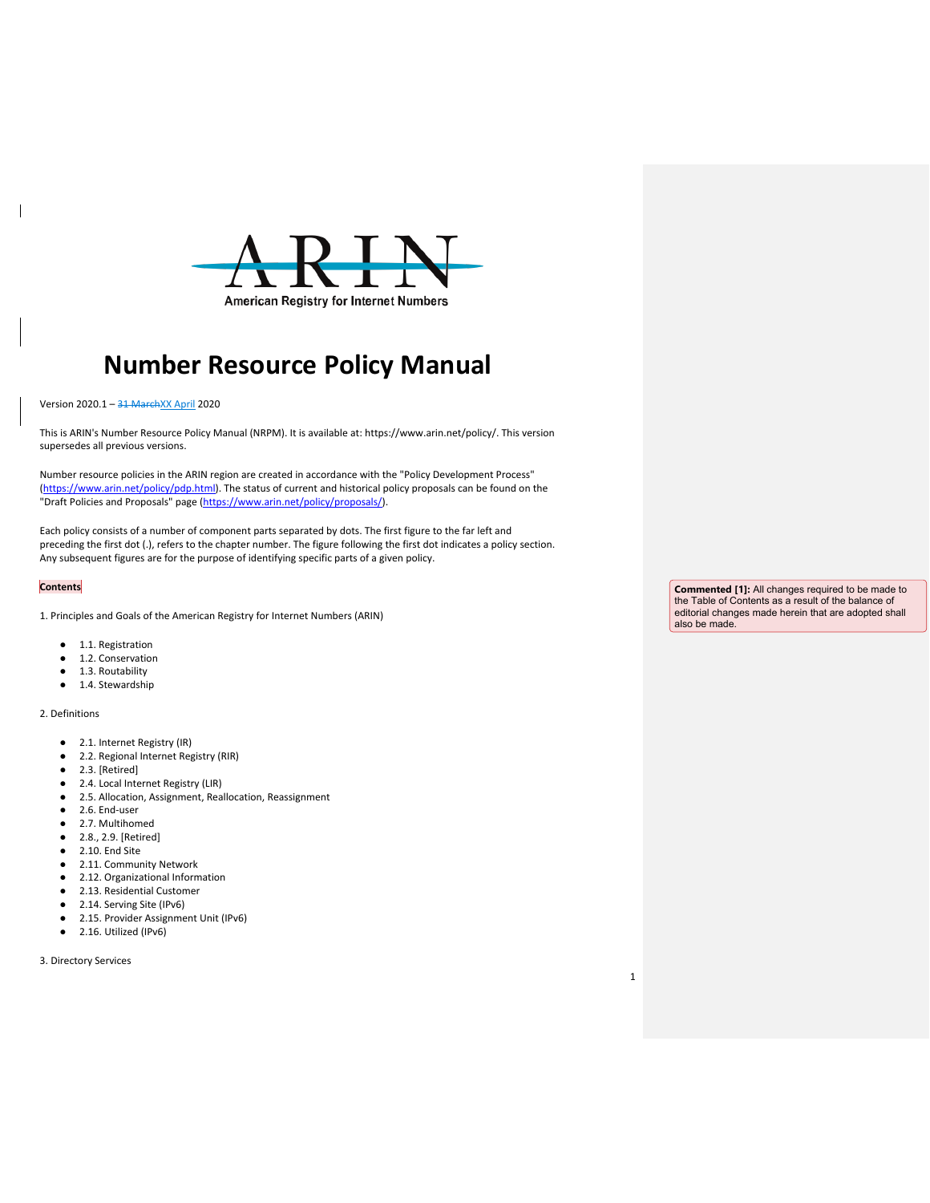

# **Number Resource Policy Manual**

Version 2020.1 - 31 MarchXX April 2020

This is ARIN's Number Resource Policy Manual (NRPM). It is available at: https://www.arin.net/policy/. This version supersedes all previous versions.

Number resource policies in the ARIN region are created in accordance with the "Policy Development Process" [\(https://www.arin.net/policy/pdp.html\)](https://www.arin.net/policy/pdp.html). The status of current and historical policy proposals can be found on the "Draft Policies and Proposals" page [\(https://www.arin.net/policy/proposals/\)](https://www.arin.net/policy/proposals/).

Each policy consists of a number of component parts separated by dots. The first figure to the far left and preceding the first dot (.), refers to the chapter number. The figure following the first dot indicates a policy section. Any subsequent figures are for the purpose of identifying specific parts of a given policy.

## **Contents**

 $\overline{\phantom{a}}$ 

1. Principles and Goals of the American Registry for Internet Numbers (ARIN)

- 1.1. Registration
- 1.2. Conservation
- 1.3. Routability
- 1.4. Stewardship

## 2. Definitions

- 2.1. Internet Registry (IR)
- 2.2. Regional Internet Registry (RIR)
- 2.3. [Retired]
- 2.4. Local Internet Registry (LIR)
- 2.5. Allocation, Assignment, Reallocation, Reassignment
- 2.6. End-user
- 2.7. Multihomed
- 2.8., 2.9. [Retired]
- 2.10. End Site
- 2.11. Community Network
- 2.12. Organizational Information
- 2.13. Residential Customer
- 2.14. Serving Site (IPv6)
- 2.15. Provider Assignment Unit (IPv6)
- 2.16. Utilized (IPv6)

3. Directory Services

**Commented [1]:** All changes required to be made to the Table of Contents as a result of the balance of editorial changes made herein that are adopted shall also be made.

1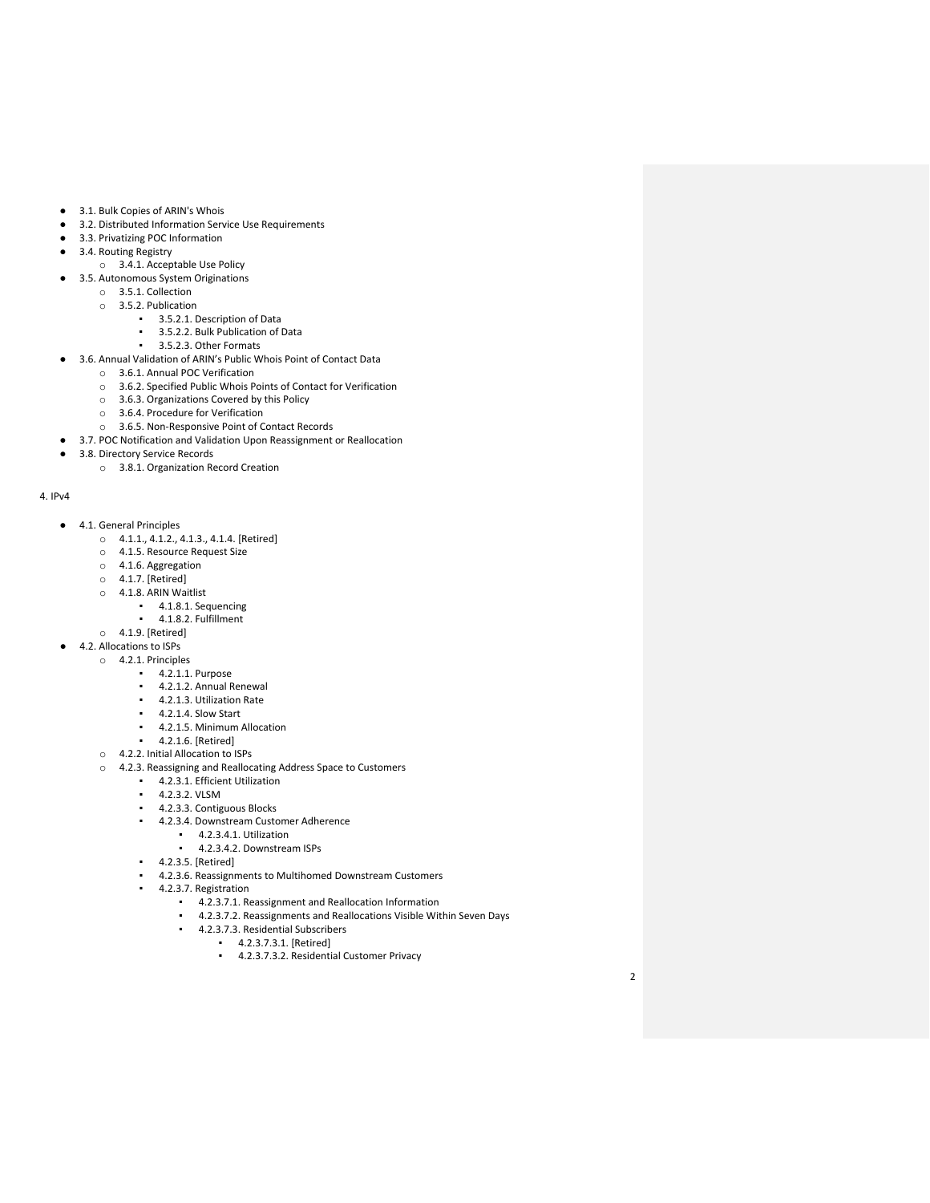- 3.1. Bulk Copies of ARIN's Whois
- 3.2. Distributed Information Service Use Requirements
- 3.3. Privatizing POC Information
- 3.4. Routing Registry
- o 3.4.1. Acceptable Use Policy
- 3.5. Autonomous System Originations
	- o 3.5.1. Collection
	- o 3.5.2. Publication
		- 3.5.2.1. Description of Data
		- 3.5.2.2. Bulk Publication of Data
	- 3.5.2.3. Other Formats
- 3.6. Annual Validation of ARIN's Public Whois Point of Contact Data
	- o 3.6.1. Annual POC Verification
	- $\circ$  3.6.2. Specified Public Whois Points of Contact for Verification  $\circ$  3.6.3. Organizations Covered by this Policy
	- 3.6.3. Organizations Covered by this Policy
	- o 3.6.4. Procedure for Verification
	- o 3.6.5. Non-Responsive Point of Contact Records
- 3.7. POC Notification and Validation Upon Reassignment or Reallocation
- 3.8. Directory Service Records
	- o 3.8.1. Organization Record Creation

#### 4. IPv4

- 4.1. General Principles
	- o 4.1.1., 4.1.2., 4.1.3., 4.1.4. [Retired]
	- o 4.1.5. Resource Request Size
	- o 4.1.6. Aggregation
	- o 4.1.7. [Retired]
	- o 4.1.8. ARIN Waitlist
		- [4.1.8.1. Sequencing](https://www.arin.net/policy/nrpm.html#four181)
		- [4.1.8.2. Fulfillment](https://www.arin.net/policy/nrpm.html#four182)
	- o 4.1.9. [Retired]
	- 4.2. Allocations to ISPs
		- o 4.2.1. Principles
			- 4.2.1.1. Purpose
			- 4.2.1.2. Annual Renewal
			- 4.2.1.3. Utilization Rate
			- 4.2.1.4. Slow Start
			- 4.2.1.5. Minimum Allocation
			- 4.2.1.6. [Retired]
		- o 4.2.2. Initial Allocation to ISPs
		- o 4.2.3. Reassigning and Reallocating Address Space to Customers
			- 4.2.3.1. Efficient Utilization
			- 4.2.3.2. VLSM
			- 4.2.3.3. Contiguous Blocks
			- 4.2.3.4. Downstream Customer Adherence
				- 4.2.3.4.1. Utilization
				- 4.2.3.4.2. Downstream ISPs
			- 4.2.3.5. [Retired]
			- 4.2.3.6. Reassignments to Multihomed Downstream Customers
			- 4.2.3.7. Registration
				- 4.2.3.7.1. Reassignment and Reallocation Information
				- 4.2.3.7.2. Reassignments and Reallocations Visible Within Seven Days
				- 4.2.3.7.3. Residential Subscribers
					- 4.2.3.7.3.1. [Retired]
						- 4.2.3.7.3.2. Residential Customer Privacy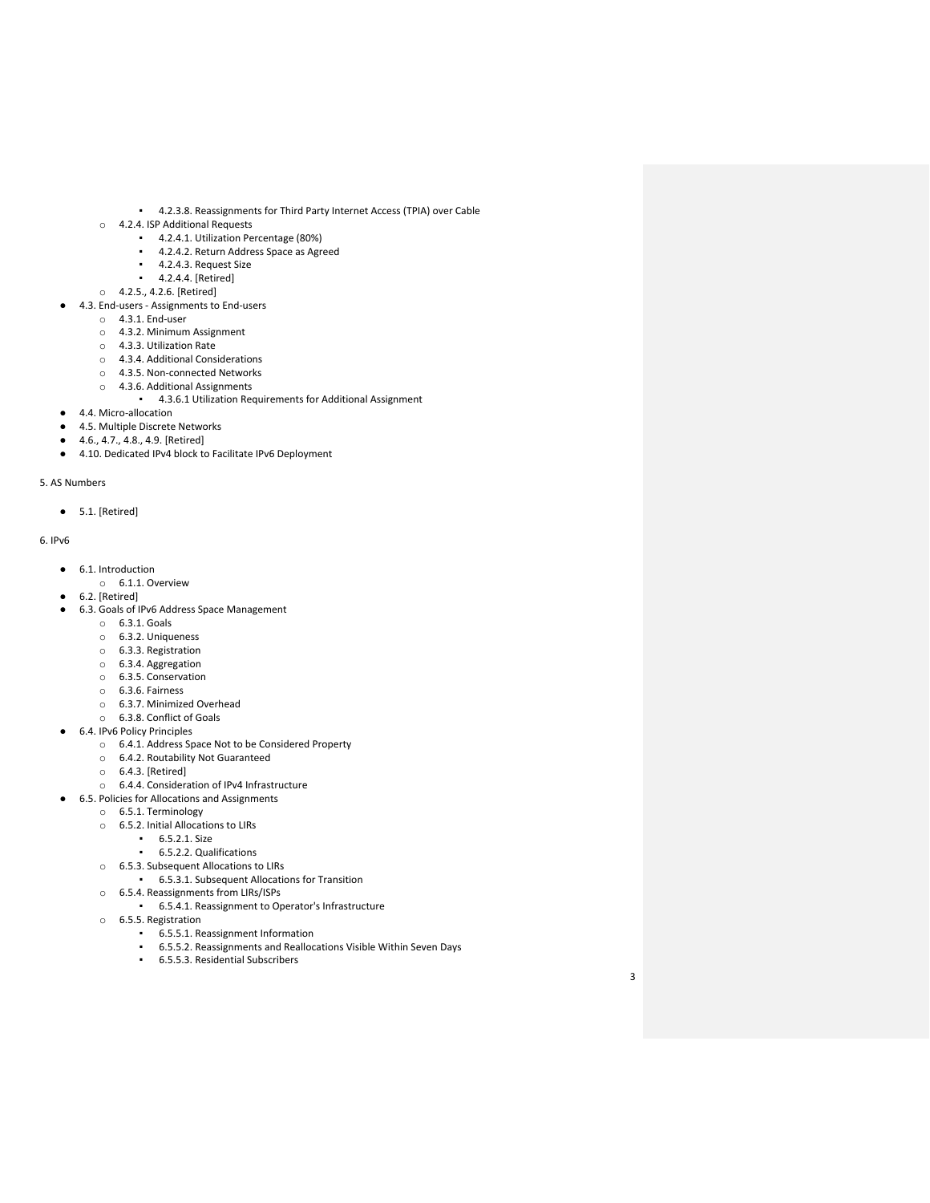- 4.2.3.8. Reassignments for Third Party Internet Access (TPIA) over Cable
- o 4.2.4. ISP Additional Requests
	- 4.2.4.1. Utilization Percentage (80%)
	- **•** 4.2.4.2. Return Address Space as Agreed
	- 4.2.4.3. Request Size
	- 4.2.4.4. [Retired]
- o 4.2.5., 4.2.6. [Retired]
- 4.3. End-users Assignments to End-users
	- o 4.3.1. End-user
		- o 4.3.2. Minimum Assignment
		- o 4.3.3. Utilization Rate
		- o 4.3.4. Additional Considerations
		- o 4.3.5. Non-connected Networks
		- o 4.3.6. Additional Assignments
	- 4.3.6.1 Utilization Requirements for Additional Assignment
- 4.4. Micro-allocation
- 4.5. Multiple Discrete Networks
- 4.6., 4.7., 4.8., 4.9. [Retired]
- 4.10. Dedicated IPv4 block to Facilitate IPv6 Deployment

5. AS Numbers

 $\bullet$  5.1. [Retired]

6. IPv6

- 6.1. Introduction
	- o 6.1.1. Overview
- 6.2. [Retired]
- 6.3. Goals of IPv6 Address Space Management
	- o 6.3.1. Goals
	- o 6.3.2. Uniqueness
	- o 6.3.3. Registration
	- o 6.3.4. Aggregation
	- o 6.3.5. Conservation o 6.3.6. Fairness
	-
	- o 6.3.7. Minimized Overhead o 6.3.8. Conflict of Goals
- 6.4. IPv6 Policy Principles
	- o 6.4.1. Address Space Not to be Considered Property
		- o 6.4.2. Routability Not Guaranteed
		- o 6.4.3. [Retired]
	- o 6.4.4. Consideration of IPv4 Infrastructure
- 6.5. Policies for Allocations and Assignments
- o 6.5.1. Terminology
	- o 6.5.2. Initial Allocations to LIRs
		- 6.5.2.1. Size
			- 6.5.2.2. Qualifications
	- o 6.5.3. Subsequent Allocations to LIRs
		- 6.5.3.1. Subsequent Allocations for Transition
	- o 6.5.4. Reassignments from LIRs/ISPs
		- 6.5.4.1. Reassignment to Operator's Infrastructure
	- o 6.5.5. Registration
		- 6.5.5.1. Reassignment Information
		- 6.5.5.2. Reassignments and Reallocations Visible Within Seven Days
		- 6.5.5.3. Residential Subscribers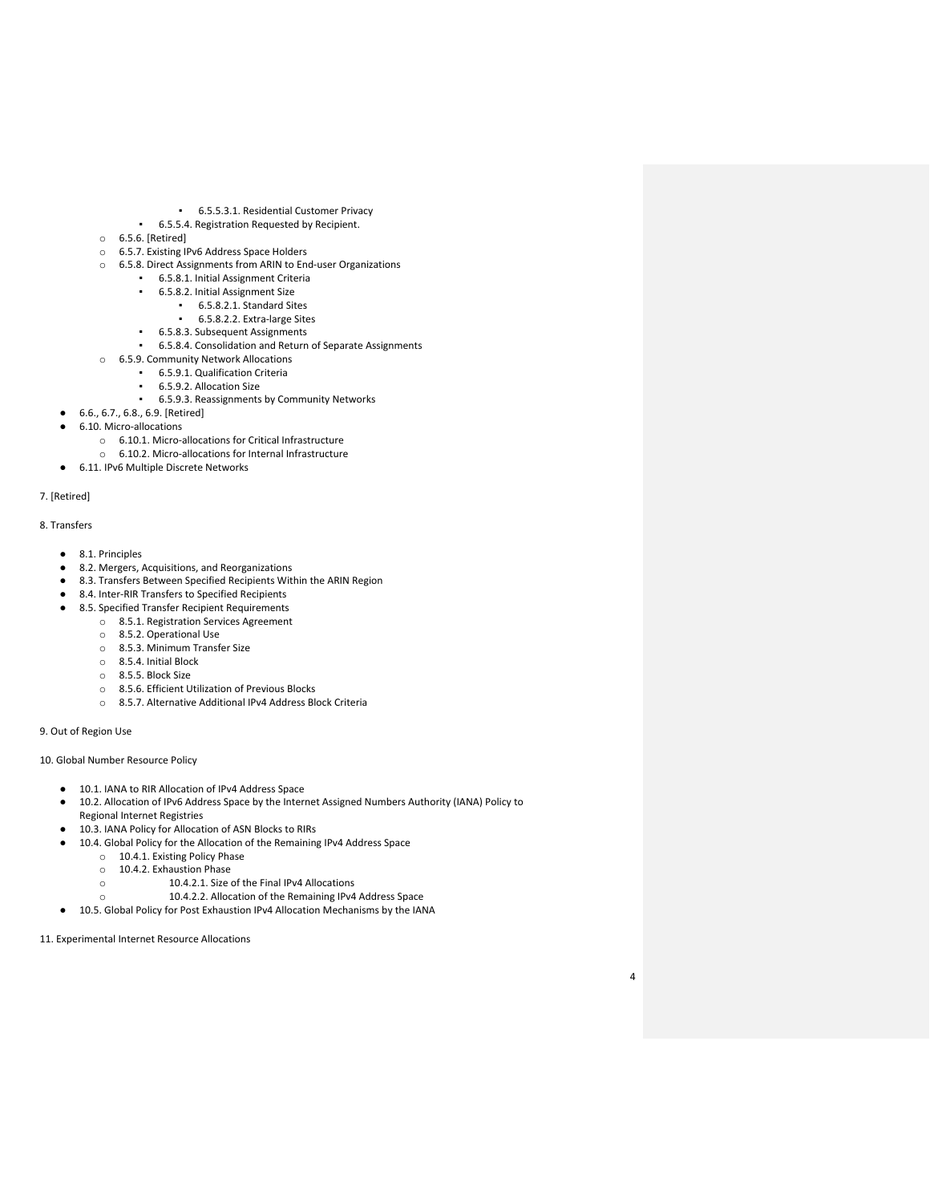- 6.5.5.3.1. Residential Customer Privacy
- 6.5.5.4. Registration Requested by Recipient.
- o 6.5.6. [Retired]
- o 6.5.7. Existing IPv6 Address Space Holders
- o 6.5.8. Direct Assignments from ARIN to End-user Organizations
	- 6.5.8.1. Initial Assignment Criteria
	- 6.5.8.2. Initial Assignment Size
		- 6.5.8.2.1. Standard Sites
		- 6.5.8.2.2. Extra-large Sites
	- 6.5.8.3. Subsequent Assignments
	- 6.5.8.4. Consolidation and Return of Separate Assignments
- o 6.5.9. Community Network Allocations
	- **6.5.9.1. Qualification Criteria** 
		- 6.5.9.2. Allocation Size
	- 6.5.9.3. Reassignments by Community Networks
- 6.6., 6.7., 6.8., 6.9. [Retired]
- 6.10. Micro-allocations
	- o 6.10.1. Micro-allocations for Critical Infrastructure
	- o 6.10.2. Micro-allocations for Internal Infrastructure
- 6.11. IPv6 Multiple Discrete Networks

#### 7. [Retired]

## 8. Transfers

- 8.1. Principles
- 8.2. Mergers, Acquisitions, and Reorganizations
- 8.3. Transfers Between Specified Recipients Within the ARIN Region
- 8.4. Inter-RIR Transfers to Specified Recipients
- 8.5. Specified Transfer Recipient Requirements
	- o 8.5.1. Registration Services Agreement
		- o 8.5.2. Operational Use
		- o 8.5.3. Minimum Transfer Size
		- o 8.5.4. Initial Block
		- o 8.5.5. Block Size
		- o 8.5.6. Efficient Utilization of Previous Blocks
		- o 8.5.7. Alternative Additional IPv4 Address Block Criteria

9. Out of Region Use

10. Global Number Resource Policy

- 10.1. IANA to RIR Allocation of IPv4 Address Space
- 10.2. Allocation of IPv6 Address Space by the Internet Assigned Numbers Authority (IANA) Policy to Regional Internet Registries
- 10.3. IANA Policy for Allocation of ASN Blocks to RIRs
- 10.4. Global Policy for the Allocation of the Remaining IPv4 Address Space
	- o 10.4.1. Existing Policy Phase
	- $\circ$  10.4.2. Exhaustion Phase
		- 10.4.2.1. Size of the Final IPv4 Allocations
	- o 10.4.2.2. Allocation of the Remaining IPv4 Address Space
- 10.5. Global Policy for Post Exhaustion IPv4 Allocation Mechanisms by the IANA

11. Experimental Internet Resource Allocations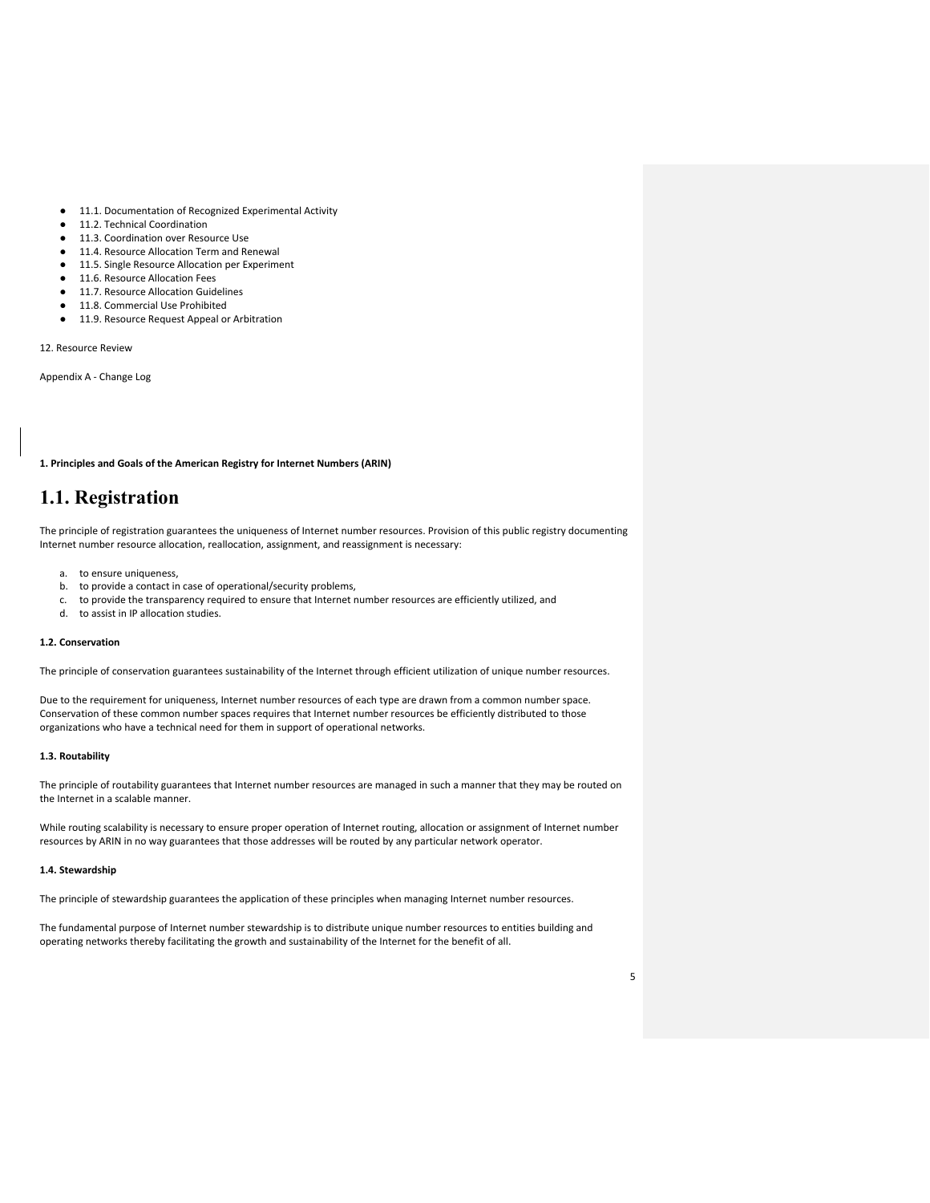- 11.1. Documentation of Recognized Experimental Activity
- 11.2. Technical Coordination
- 11.3. Coordination over Resource Use
- 11.4. Resource Allocation Term and Renewal
- 11.5. Single Resource Allocation per Experiment
- 11.6. Resource Allocation Fees
- 11.7. Resource Allocation Guidelines
- 11.8. Commercial Use Prohibited
- 11.9. Resource Request Appeal or Arbitration

12. Resource Review

Appendix A - Change Log

**1. Principles and Goals of the American Registry for Internet Numbers (ARIN)** 

## **1.1. Registration**

The principle of registration guarantees the uniqueness of Internet number resources. Provision of this public registry documenting Internet number resource allocation, reallocation, assignment, and reassignment is necessary:

- a. to ensure uniqueness,
- b. to provide a contact in case of operational/security problems,
- c. to provide the transparency required to ensure that Internet number resources are efficiently utilized, and
- d. to assist in IP allocation studies.

## **1.2. Conservation**

The principle of conservation guarantees sustainability of the Internet through efficient utilization of unique number resources.

Due to the requirement for uniqueness, Internet number resources of each type are drawn from a common number space. Conservation of these common number spaces requires that Internet number resources be efficiently distributed to those organizations who have a technical need for them in support of operational networks.

#### **1.3. Routability**

The principle of routability guarantees that Internet number resources are managed in such a manner that they may be routed on the Internet in a scalable manner.

While routing scalability is necessary to ensure proper operation of Internet routing, allocation or assignment of Internet number resources by ARIN in no way guarantees that those addresses will be routed by any particular network operator.

## **1.4. Stewardship**

The principle of stewardship guarantees the application of these principles when managing Internet number resources.

The fundamental purpose of Internet number stewardship is to distribute unique number resources to entities building and operating networks thereby facilitating the growth and sustainability of the Internet for the benefit of all.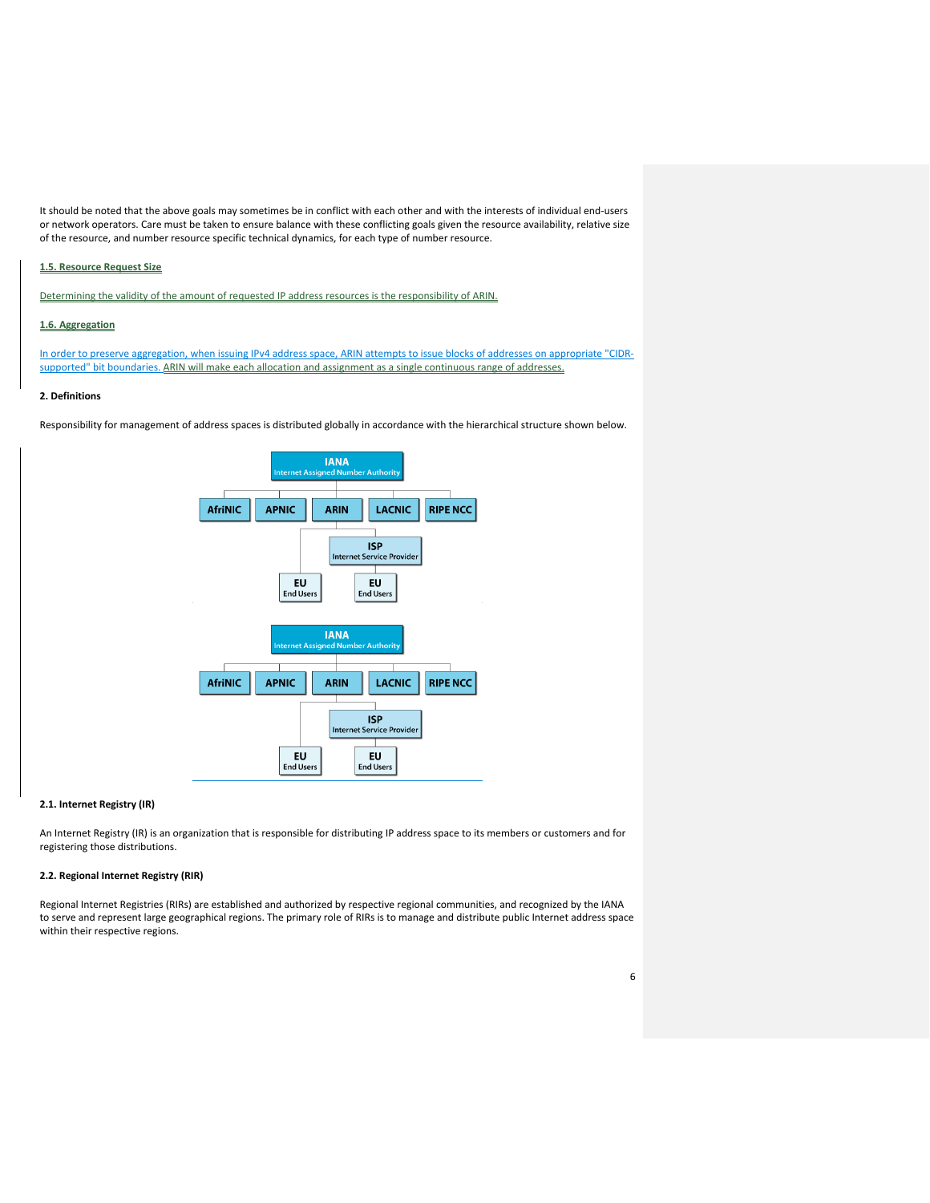It should be noted that the above goals may sometimes be in conflict with each other and with the interests of individual end-users or network operators. Care must be taken to ensure balance with these conflicting goals given the resource availability, relative size of the resource, and number resource specific technical dynamics, for each type of number resource.

## **1.5. Resource Request Size**

Determining the validity of the amount of requested IP address resources is the responsibility of ARIN.

## **1.6. Aggregation**

In order to preserve aggregation, when issuing IPv4 address space, ARIN attempts to issue blocks of addresses on appropriate "CIDRsupported" bit boundaries. ARIN will make each allocation and assignment as a single continuous range of addresses.

#### **2. Definitions**

Responsibility for management of address spaces is distributed globally in accordance with the hierarchical structure shown below.



#### **2.1. Internet Registry (IR)**

An Internet Registry (IR) is an organization that is responsible for distributing IP address space to its members or customers and for registering those distributions.

## **2.2. Regional Internet Registry (RIR)**

Regional Internet Registries (RIRs) are established and authorized by respective regional communities, and recognized by the IANA to serve and represent large geographical regions. The primary role of RIRs is to manage and distribute public Internet address space within their respective regions.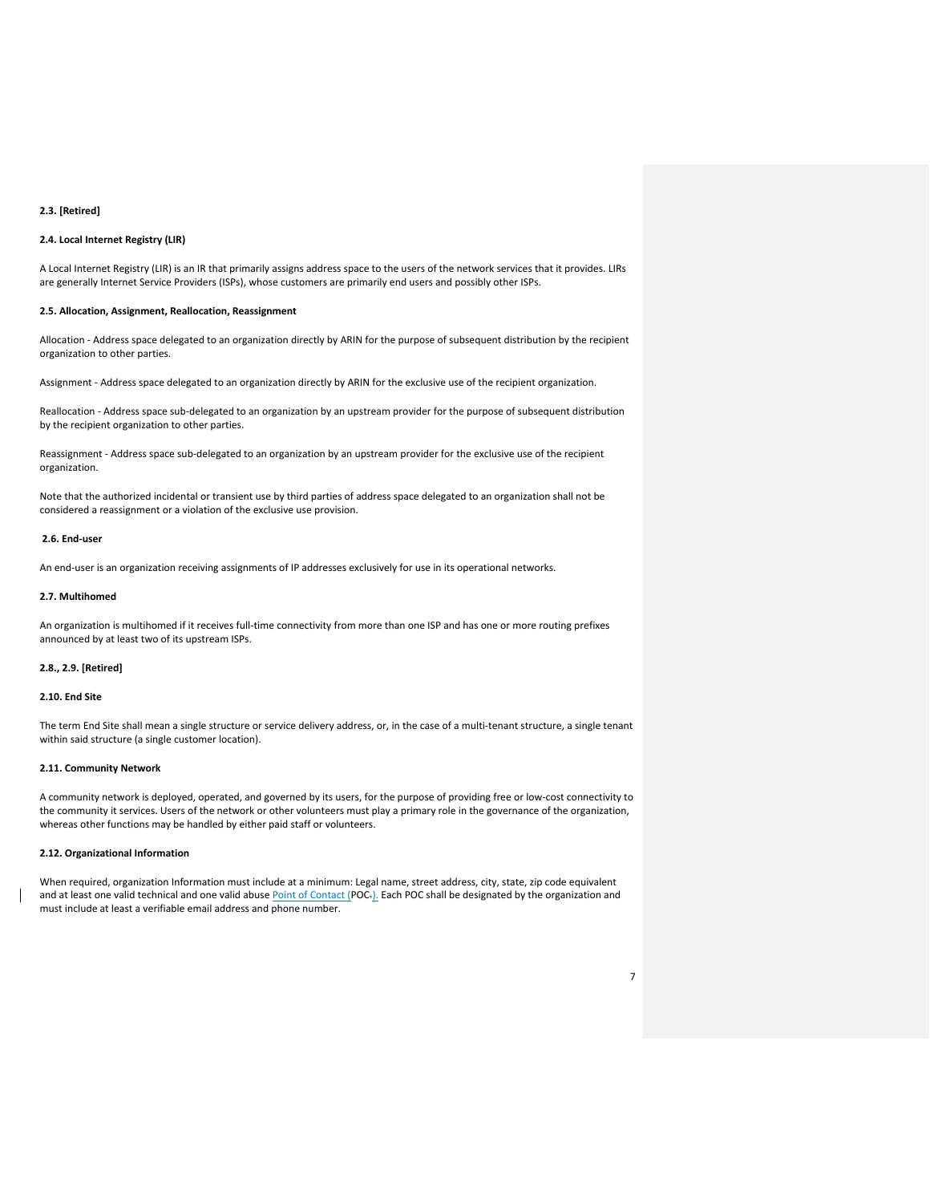#### **2.3. [Retired]**

## **2.4. Local Internet Registry (LIR)**

A Local Internet Registry (LIR) is an IR that primarily assigns address space to the users of the network services that it provides. LIRs are generally Internet Service Providers (ISPs), whose customers are primarily end users and possibly other ISPs.

#### **2.5. Allocation, Assignment, Reallocation, Reassignment**

Allocation - Address space delegated to an organization directly by ARIN for the purpose of subsequent distribution by the recipient organization to other parties.

Assignment - Address space delegated to an organization directly by ARIN for the exclusive use of the recipient organization.

Reallocation - Address space sub-delegated to an organization by an upstream provider for the purpose of subsequent distribution by the recipient organization to other parties.

Reassignment - Address space sub-delegated to an organization by an upstream provider for the exclusive use of the recipient organization.

Note that the authorized incidental or transient use by third parties of address space delegated to an organization shall not be considered a reassignment or a violation of the exclusive use provision.

#### **2.6. End-user**

An end-user is an organization receiving assignments of IP addresses exclusively for use in its operational networks.

#### **2.7. Multihomed**

An organization is multihomed if it receives full-time connectivity from more than one ISP and has one or more routing prefixes announced by at least two of its upstream ISPs.

## **2.8., 2.9. [Retired]**

#### **2.10. End Site**

The term End Site shall mean a single structure or service delivery address, or, in the case of a multi-tenant structure, a single tenant within said structure (a single customer location).

#### **2.11. Community Network**

A community network is deployed, operated, and governed by its users, for the purpose of providing free or low-cost connectivity to the community it services. Users of the network or other volunteers must play a primary role in the governance of the organization, whereas other functions may be handled by either paid staff or volunteers.

## **2.12. Organizational Information**

When required, organization Information must include at a minimum: Legal name, street address, city, state, zip code equivalent and at least one valid technical and one valid abuse Point of Contact (POC<sub>7</sub>). Each POC shall be designated by the organization and must include at least a verifiable email address and phone number.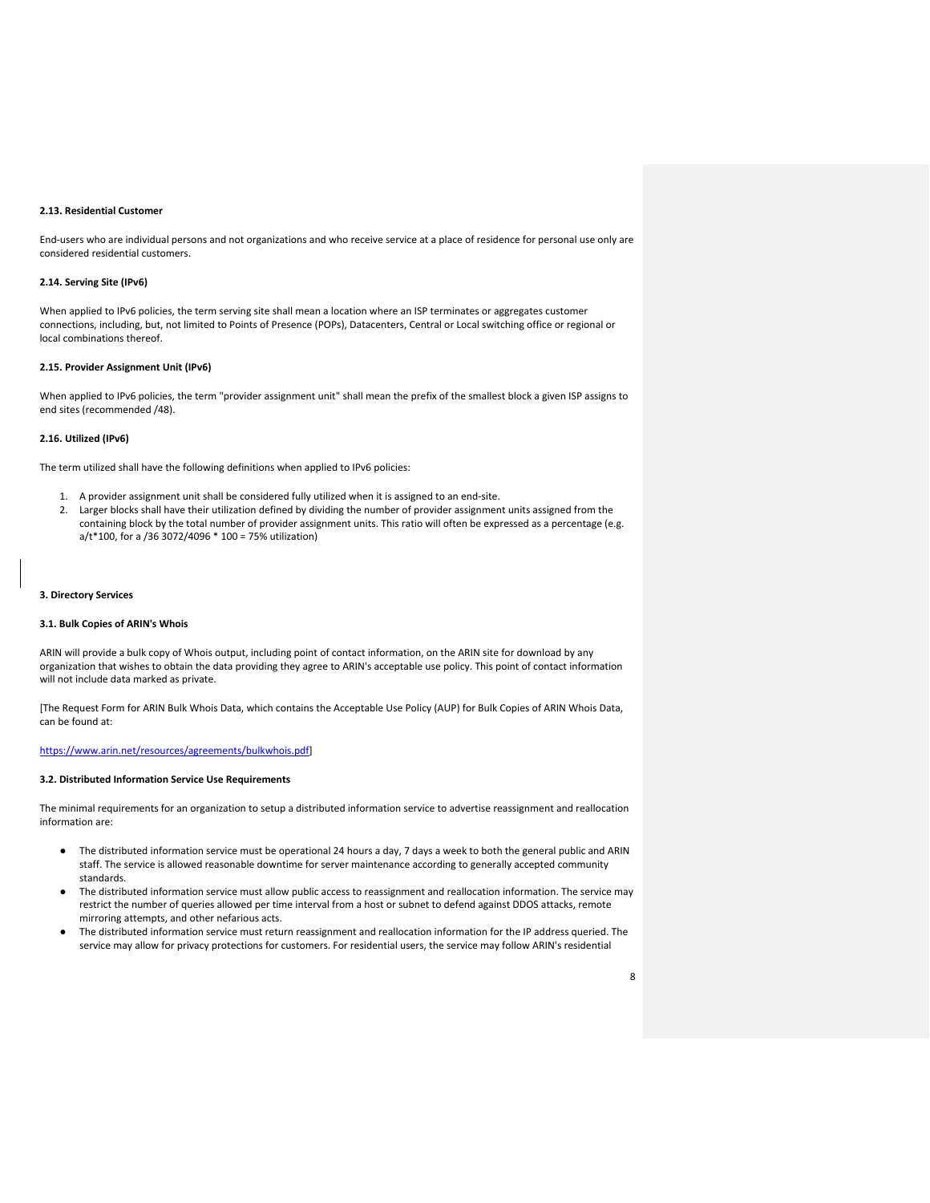#### **2.13. Residential Customer**

End-users who are individual persons and not organizations and who receive service at a place of residence for personal use only are considered residential customers.

## **2.14. Serving Site (IPv6)**

When applied to IPv6 policies, the term serving site shall mean a location where an ISP terminates or aggregates customer connections, including, but, not limited to Points of Presence (POPs), Datacenters, Central or Local switching office or regional or local combinations thereof.

#### **2.15. Provider Assignment Unit (IPv6)**

When applied to IPv6 policies, the term "provider assignment unit" shall mean the prefix of the smallest block a given ISP assigns to end sites (recommended /48).

## **2.16. Utilized (IPv6)**

The term utilized shall have the following definitions when applied to IPv6 policies:

- 1. A provider assignment unit shall be considered fully utilized when it is assigned to an end-site.
- 2. Larger blocks shall have their utilization defined by dividing the number of provider assignment units assigned from the containing block by the total number of provider assignment units. This ratio will often be expressed as a percentage (e.g. a/t\*100, for a /36 3072/4096 \* 100 = 75% utilization)

## **3. Directory Services**

#### **3.1. Bulk Copies of ARIN's Whois**

ARIN will provide a bulk copy of Whois output, including point of contact information, on the ARIN site for download by any organization that wishes to obtain the data providing they agree to ARIN's acceptable use policy. This point of contact information will not include data marked as private.

[The Request Form for ARIN Bulk Whois Data, which contains the Acceptable Use Policy (AUP) for Bulk Copies of ARIN Whois Data, can be found at:

## [https://www.arin.net/resources/agreements/bulkwhois.pdf\]](https://www.arin.net/resources/agreements/bulkwhois.pdf)

## **3.2. Distributed Information Service Use Requirements**

The minimal requirements for an organization to setup a distributed information service to advertise reassignment and reallocation information are:

- The distributed information service must be operational 24 hours a day, 7 days a week to both the general public and ARIN staff. The service is allowed reasonable downtime for server maintenance according to generally accepted community standards.
- The distributed information service must allow public access to reassignment and reallocation information. The service may restrict the number of queries allowed per time interval from a host or subnet to defend against DDOS attacks, remote mirroring attempts, and other nefarious acts.
- The distributed information service must return reassignment and reallocation information for the IP address queried. The service may allow for privacy protections for customers. For residential users, the service may follow ARIN's residential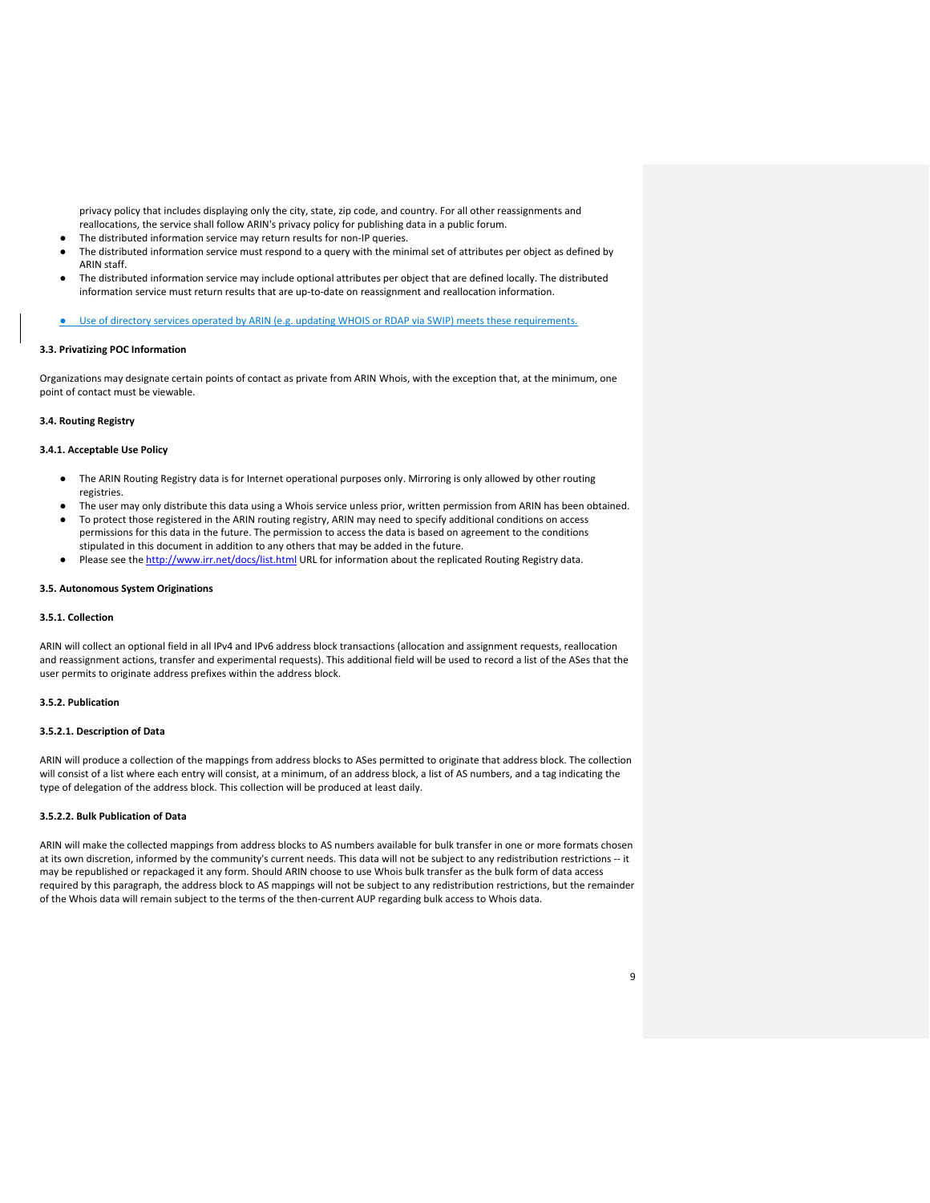privacy policy that includes displaying only the city, state, zip code, and country. For all other reassignments and reallocations, the service shall follow ARIN's privacy policy for publishing data in a public forum.

- The distributed information service may return results for non-IP queries.
- The distributed information service must respond to a query with the minimal set of attributes per object as defined by ARIN staff.
- The distributed information service may include optional attributes per object that are defined locally. The distributed information service must return results that are up-to-date on reassignment and reallocation information.
- Use of directory services operated by ARIN (e.g. updating WHOIS or RDAP via SWIP) meets these requirements.

## **3.3. Privatizing POC Information**

Organizations may designate certain points of contact as private from ARIN Whois, with the exception that, at the minimum, one point of contact must be viewable.

## **3.4. Routing Registry**

## **3.4.1. Acceptable Use Policy**

- The ARIN Routing Registry data is for Internet operational purposes only. Mirroring is only allowed by other routing registries.
- The user may only distribute this data using a Whois service unless prior, written permission from ARIN has been obtained.
- To protect those registered in the ARIN routing registry, ARIN may need to specify additional conditions on access permissions for this data in the future. The permission to access the data is based on agreement to the conditions stipulated in this document in addition to any others that may be added in the future.
- Please see the<http://www.irr.net/docs/list.html> URL for information about the replicated Routing Registry data.

## **3.5. Autonomous System Originations**

## **3.5.1. Collection**

ARIN will collect an optional field in all IPv4 and IPv6 address block transactions (allocation and assignment requests, reallocation and reassignment actions, transfer and experimental requests). This additional field will be used to record a list of the ASes that the user permits to originate address prefixes within the address block.

## **3.5.2. Publication**

## **3.5.2.1. Description of Data**

ARIN will produce a collection of the mappings from address blocks to ASes permitted to originate that address block. The collection will consist of a list where each entry will consist, at a minimum, of an address block, a list of AS numbers, and a tag indicating the type of delegation of the address block. This collection will be produced at least daily.

## **3.5.2.2. Bulk Publication of Data**

ARIN will make the collected mappings from address blocks to AS numbers available for bulk transfer in one or more formats chosen at its own discretion, informed by the community's current needs. This data will not be subject to any redistribution restrictions -- it may be republished or repackaged it any form. Should ARIN choose to use Whois bulk transfer as the bulk form of data access required by this paragraph, the address block to AS mappings will not be subject to any redistribution restrictions, but the remainder of the Whois data will remain subject to the terms of the then-current AUP regarding bulk access to Whois data.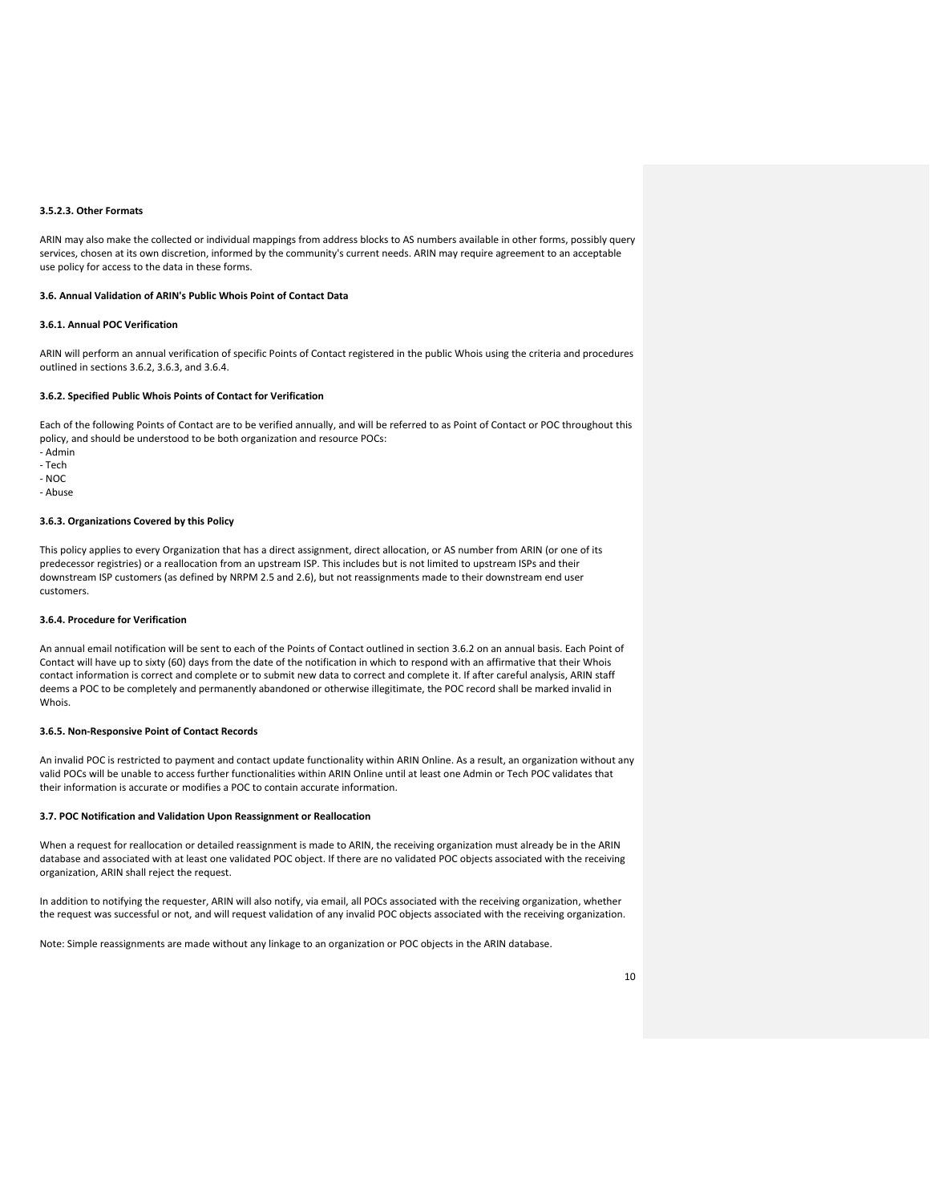## **3.5.2.3. Other Formats**

ARIN may also make the collected or individual mappings from address blocks to AS numbers available in other forms, possibly query services, chosen at its own discretion, informed by the community's current needs. ARIN may require agreement to an acceptable use policy for access to the data in these forms.

#### **3.6. Annual Validation of ARIN's Public Whois Point of Contact Data**

## **3.6.1. Annual POC Verification**

ARIN will perform an annual verification of specific Points of Contact registered in the public Whois using the criteria and procedures outlined in sections 3.6.2, 3.6.3, and 3.6.4.

#### **3.6.2. Specified Public Whois Points of Contact for Verification**

Each of the following Points of Contact are to be verified annually, and will be referred to as Point of Contact or POC throughout this policy, and should be understood to be both organization and resource POCs:

- Admin
- Tech
- NOC
- Abuse

## **3.6.3. Organizations Covered by this Policy**

This policy applies to every Organization that has a direct assignment, direct allocation, or AS number from ARIN (or one of its predecessor registries) or a reallocation from an upstream ISP. This includes but is not limited to upstream ISPs and their downstream ISP customers (as defined by NRPM 2.5 and 2.6), but not reassignments made to their downstream end user customers.

## **3.6.4. Procedure for Verification**

An annual email notification will be sent to each of the Points of Contact outlined in section 3.6.2 on an annual basis. Each Point of Contact will have up to sixty (60) days from the date of the notification in which to respond with an affirmative that their Whois contact information is correct and complete or to submit new data to correct and complete it. If after careful analysis, ARIN staff deems a POC to be completely and permanently abandoned or otherwise illegitimate, the POC record shall be marked invalid in Whois.

#### **3.6.5. Non-Responsive Point of Contact Records**

An invalid POC is restricted to payment and contact update functionality within ARIN Online. As a result, an organization without any valid POCs will be unable to access further functionalities within ARIN Online until at least one Admin or Tech POC validates that their information is accurate or modifies a POC to contain accurate information.

#### **3.7. POC Notification and Validation Upon Reassignment or Reallocation**

When a request for reallocation or detailed reassignment is made to ARIN, the receiving organization must already be in the ARIN database and associated with at least one validated POC object. If there are no validated POC objects associated with the receiving organization, ARIN shall reject the request.

In addition to notifying the requester, ARIN will also notify, via email, all POCs associated with the receiving organization, whether the request was successful or not, and will request validation of any invalid POC objects associated with the receiving organization.

Note: Simple reassignments are made without any linkage to an organization or POC objects in the ARIN database.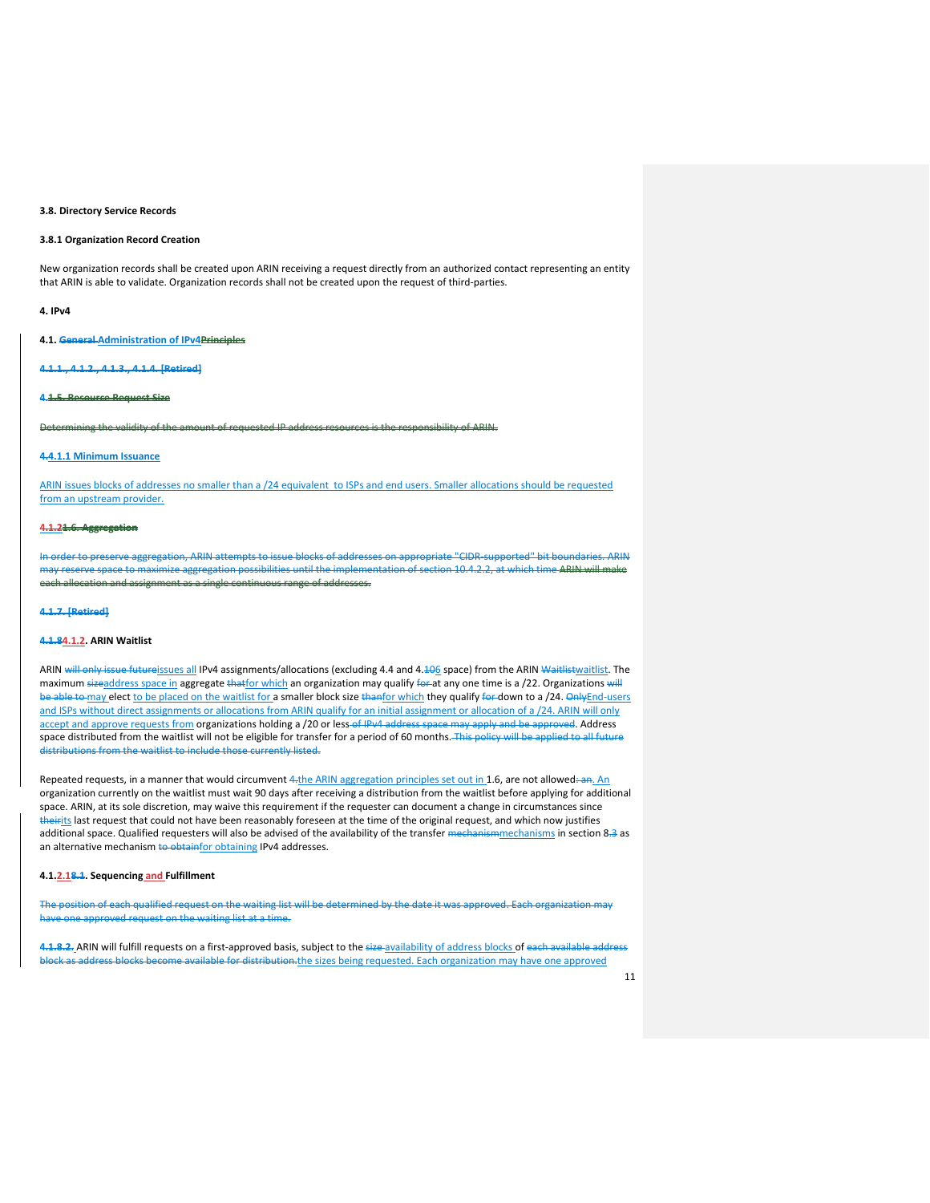#### **3.8. Directory Service Records**

## **3.8.1 Organization Record Creation**

New organization records shall be created upon ARIN receiving a request directly from an authorized contact representing an entity that ARIN is able to validate. Organization records shall not be created upon the request of third-parties.

#### **4. IPv4**

**4.1. General Administration of IPv4Principles**

**4.1.1., 4.1.2., 4.1.3., 4.1.4. [Retired]**

#### **4.1.5. Resource Request Size**

ining the validity of the amount of requested IP address resources is the responsibility of ARIN.  $\,$ 

## **4.4.1.1 Minimum Issuance**

ARIN issues blocks of addresses no smaller than a /24 equivalent to ISPs and end users. Smaller allocations should be requested from an upstream provider.

## **4.1.21.6. Aggregation**

In order to preserve aggregation, ARIN attempts to issue blocks of addresses on appropriate "CIDR-supported" bit boundaries. ARIN space to maximize aggregation possibilities until the implementation of section 10.4.2.2, at which time ARIN will make each allocation and assignment as a single continuous range of addresses.

#### **4.1.7. [Retired]**

## **4.1.84.1.2. ARIN Waitlist**

ARIN will only issue futureissues all IPv4 assignments/allocations (excluding 4.4 and 4.<del>10</del>6 space) from the ARIN Waitlistwaitlist. The maximum sizeaddress space in aggregate thatfor which an organization may qualify for at any one time is a /22. Organizations will be able to may elect to be placed on the waitlist for a smaller block size thanfor which they qualify for down to a /24. Only End-users and ISPs without direct assignments or allocations from ARIN qualify for an initial assignment or allocation of a /24. ARIN will only accept and approve requests from organizations holding a /20 or less of IPv4 address space may apply and be approved. Address space distributed from the waitlist will not be eligible for transfer for a period of 60 months. This policy will be applied to all future distributions from the waitlist to include those currently listed.

Repeated requests, in a manner that would circumvent 4.the ARIN aggregation principles set out in 1.6, are not allowed: an. An organization currently on the waitlist must wait 90 days after receiving a distribution from the waitlist before applying for additional space. ARIN, at its sole discretion, may waive this requirement if the requester can document a change in circumstances since theirits last request that could not have been reasonably foreseen at the time of the original request, and which now justifies additional space. Qualified requesters will also be advised of the availability of the transfer mechanismmechanisms in section 8.3 as an alternative mechanism to obtainfor obtaining IPv4 addresses.

## **4.1.2.18.1. Sequencing and Fulfillment**

ch qualified request on the waiting list will be determined by the date it was approved. Each organization ne approved request on the waiting list at a time.

4.1.8.2. ARIN will fulfill requests on a first-approved basis, subject to the size-availability of address blocks of each ava ess blocks become available for distribution.the sizes being requested. Each organization may have one approved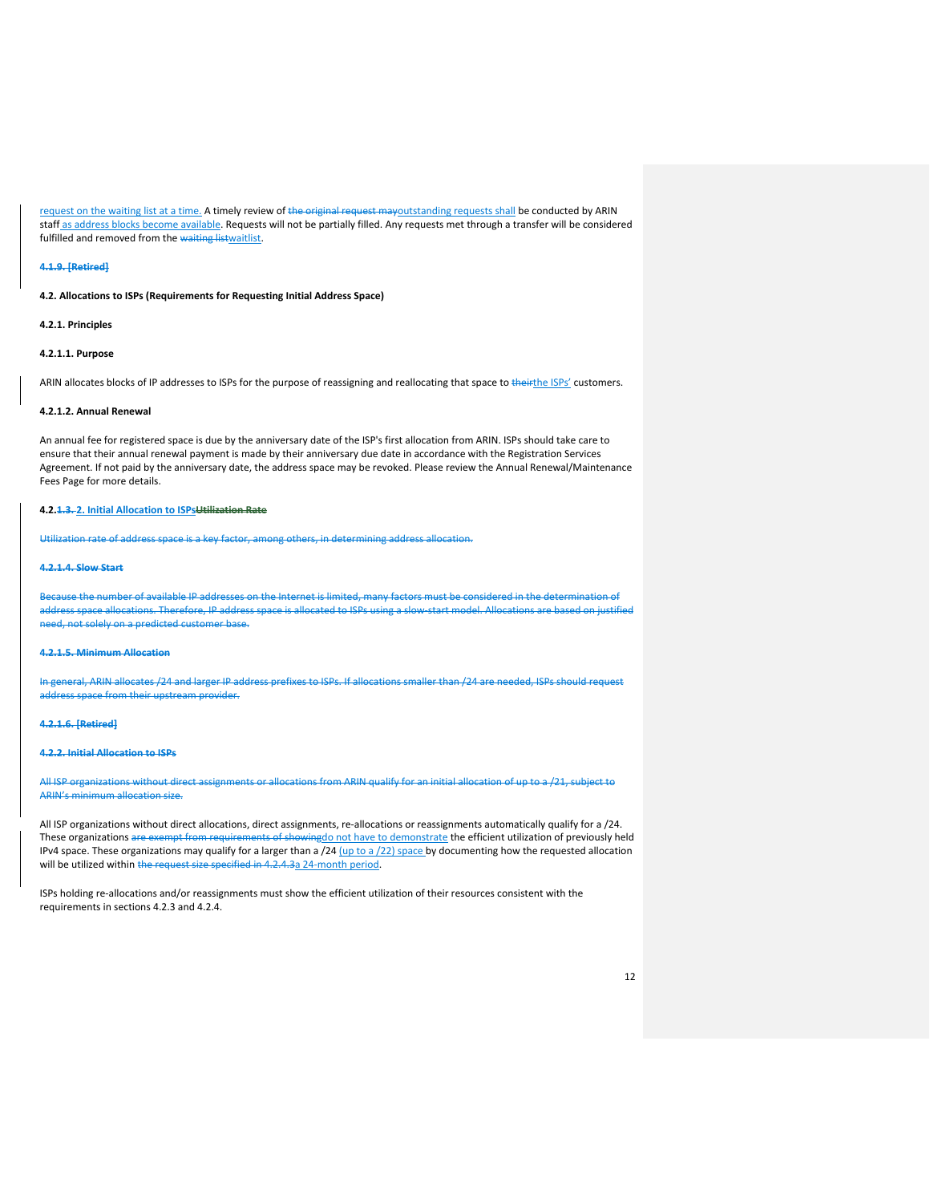request on the waiting list at a time. A timely review of the original request mayoutstanding requests shall be conducted by ARIN staff as address blocks become available. Requests will not be partially filled. Any requests met through a transfer will be considered fulfilled and removed from the waiting listwaitlist.

#### **4.1.9. [Retired]**

**4.2. Allocations to ISPs (Requirements for Requesting Initial Address Space)**

## **4.2.1. Principles**

#### **4.2.1.1. Purpose**

ARIN allocates blocks of IP addresses to ISPs for the purpose of reassigning and reallocating that space to theirthe ISPs' customers.

#### **4.2.1.2. Annual Renewal**

An annual fee for registered space is due by the anniversary date of the ISP's first allocation from ARIN. ISPs should take care to ensure that their annual renewal payment is made by their anniversary due date in accordance with the Registration Services Agreement. If not paid by the anniversary date, the address space may be revoked. Please review the Annual Renewal/Maintenance Fees Page for more details.

## **4.2.1.3. 2. Initial Allocation to ISPsUtilization Rate**

Utilization rate of address space is a key factor, among others, in determining address allo

#### **4.2.1.4. Slow Start**

e the number of available IP addresses on the Internet is li ass space allocations. Therefore, IP address space is allocated to ISPs using a slow-start model. Allocations need, not solely on a predicted customer base.

## **4.2.1.5. Minimum Allocation**

In general, ARIN allocates /24 and larger IP address prefixes to ISPs. If allocations smaller than /24 are needed, ISPs should request address space from their upstream provider.

#### **4.2.1.6. [Retired]**

#### **4.2.2. Initial Allocation to ISPs**

All ISP organizations without direct assignments or allocations from ARIN qualify for an initial allocation of up to a /21, subject to ARIN's minimum allocation size.

All ISP organizations without direct allocations, direct assignments, re-allocations or reassignments automatically qualify for a /24. These organizations are exempt from requirements of showingdo not have to demonstrate the efficient utilization of previously held IPv4 space. These organizations may qualify for a larger than a /24 (up to a /22) space by documenting how the requested allocation will be utilized within the request size specified in 4.2.4.3a 24-month period.

ISPs holding re-allocations and/or reassignments must show the efficient utilization of their resources consistent with the requirements in sections 4.2.3 and 4.2.4.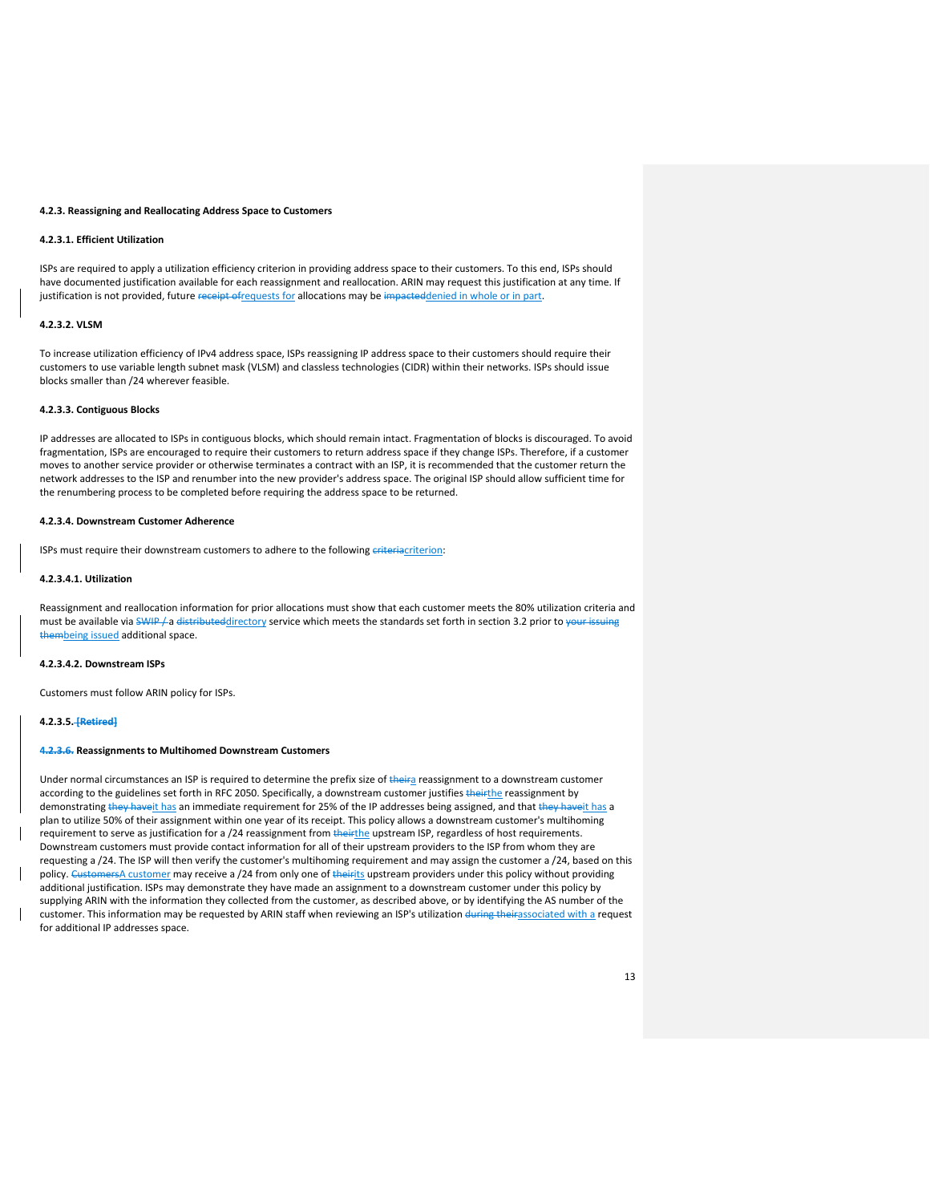#### **4.2.3. Reassigning and Reallocating Address Space to Customers**

## **4.2.3.1. Efficient Utilization**

ISPs are required to apply a utilization efficiency criterion in providing address space to their customers. To this end, ISPs should have documented justification available for each reassignment and reallocation. ARIN may request this justification at any time. If justification is not provided, future receipt ofrequests for allocations may be impacteddenied in whole or in part.

## **4.2.3.2. VLSM**

To increase utilization efficiency of IPv4 address space, ISPs reassigning IP address space to their customers should require their customers to use variable length subnet mask (VLSM) and classless technologies (CIDR) within their networks. ISPs should issue blocks smaller than /24 wherever feasible.

## **4.2.3.3. Contiguous Blocks**

IP addresses are allocated to ISPs in contiguous blocks, which should remain intact. Fragmentation of blocks is discouraged. To avoid fragmentation, ISPs are encouraged to require their customers to return address space if they change ISPs. Therefore, if a customer moves to another service provider or otherwise terminates a contract with an ISP, it is recommended that the customer return the network addresses to the ISP and renumber into the new provider's address space. The original ISP should allow sufficient time for the renumbering process to be completed before requiring the address space to be returned.

#### **4.2.3.4. Downstream Customer Adherence**

ISPs must require their downstream customers to adhere to the following eriteriacriterion:

#### **4.2.3.4.1. Utilization**

Reassignment and reallocation information for prior allocations must show that each customer meets the 80% utilization criteria and must be available via SWIP / a distributeddirectory service which meets the standards set forth in section 3.2 prior to your issuing thembeing issued additional space.

#### **4.2.3.4.2. Downstream ISPs**

Customers must follow ARIN policy for ISPs.

## **4.2.3.5. [Retired]**

## **4.2.3.6. Reassignments to Multihomed Downstream Customers**

Under normal circumstances an ISP is required to determine the prefix size of theira reassignment to a downstream customer according to the guidelines set forth in RFC 2050. Specifically, a downstream customer justifies theirthe reassignment by demonstrating they haveit has an immediate requirement for 25% of the IP addresses being assigned, and that they haveit has a plan to utilize 50% of their assignment within one year of its receipt. This policy allows a downstream customer's multihoming requirement to serve as justification for a /24 reassignment from theirthe upstream ISP, regardless of host requirements. Downstream customers must provide contact information for all of their upstream providers to the ISP from whom they are requesting a /24. The ISP will then verify the customer's multihoming requirement and may assign the customer a /24, based on this policy. CustomersA customer may receive a /24 from only one of theirits upstream providers under this policy without providing additional justification. ISPs may demonstrate they have made an assignment to a downstream customer under this policy by supplying ARIN with the information they collected from the customer, as described above, or by identifying the AS number of the customer. This information may be requested by ARIN staff when reviewing an ISP's utilization during theirassociated with a request for additional IP addresses space.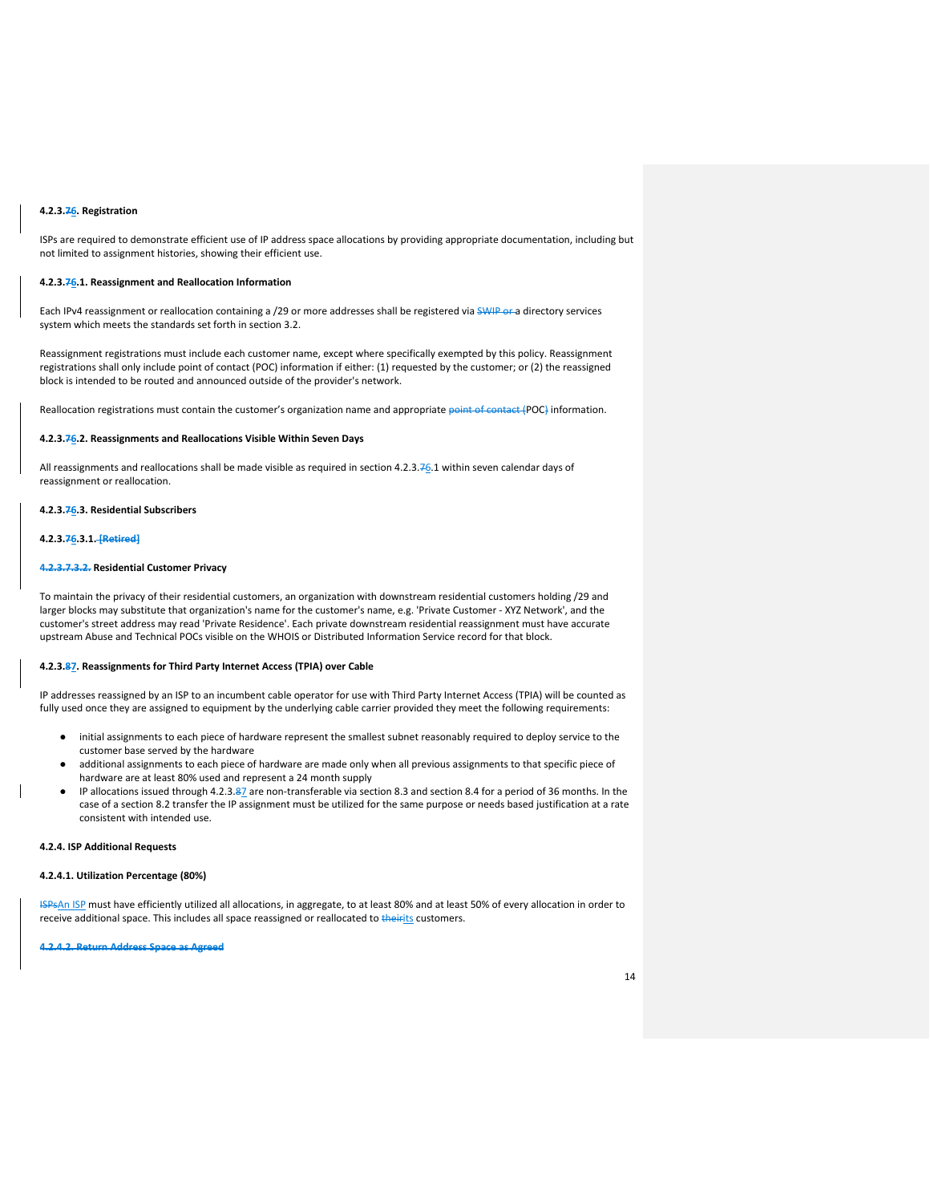## **4.2.3.76. Registration**

ISPs are required to demonstrate efficient use of IP address space allocations by providing appropriate documentation, including but not limited to assignment histories, showing their efficient use.

## **4.2.3.76.1. Reassignment and Reallocation Information**

Each IPv4 reassignment or reallocation containing a /29 or more addresses shall be registered via SWIP or a directory services system which meets the standards set forth in section 3.2.

Reassignment registrations must include each customer name, except where specifically exempted by this policy. Reassignment registrations shall only include point of contact (POC) information if either: (1) requested by the customer; or (2) the reassigned block is intended to be routed and announced outside of the provider's network.

Reallocation registrations must contain the customer's organization name and appropriate point of contact (POC) information.

#### **4.2.3.76.2. Reassignments and Reallocations Visible Within Seven Days**

All reassignments and reallocations shall be made visible as required in section 4.2.3.76.1 within seven calendar days of reassignment or reallocation.

## **4.2.3.76.3. Residential Subscribers**

#### **4.2.3.76.3.1. [Retired]**

#### **4.2.3.7.3.2. Residential Customer Privacy**

To maintain the privacy of their residential customers, an organization with downstream residential customers holding /29 and larger blocks may substitute that organization's name for the customer's name, e.g. 'Private Customer - XYZ Network', and the customer's street address may read 'Private Residence'. Each private downstream residential reassignment must have accurate upstream Abuse and Technical POCs visible on the WHOIS or Distributed Information Service record for that block.

## **4.2.3.87. Reassignments for Third Party Internet Access (TPIA) over Cable**

IP addresses reassigned by an ISP to an incumbent cable operator for use with Third Party Internet Access (TPIA) will be counted as fully used once they are assigned to equipment by the underlying cable carrier provided they meet the following requirements:

- initial assignments to each piece of hardware represent the smallest subnet reasonably required to deploy service to the customer base served by the hardware
- additional assignments to each piece of hardware are made only when all previous assignments to that specific piece of hardware are at least 80% used and represent a 24 month supply
- IP allocations issued through 4.2.3.87 are non-transferable via section 8.3 and section 8.4 for a period of 36 months. In the case of a section 8.2 transfer the IP assignment must be utilized for the same purpose or needs based justification at a rate consistent with intended use.

#### **4.2.4. ISP Additional Requests**

## **4.2.4.1. Utilization Percentage (80%)**

ISPsAn ISP must have efficiently utilized all allocations, in aggregate, to at least 80% and at least 50% of every allocation in order to receive additional space. This includes all space reassigned or reallocated to theirits customers.

**4.2.4.2. Return Address Space as Agreed**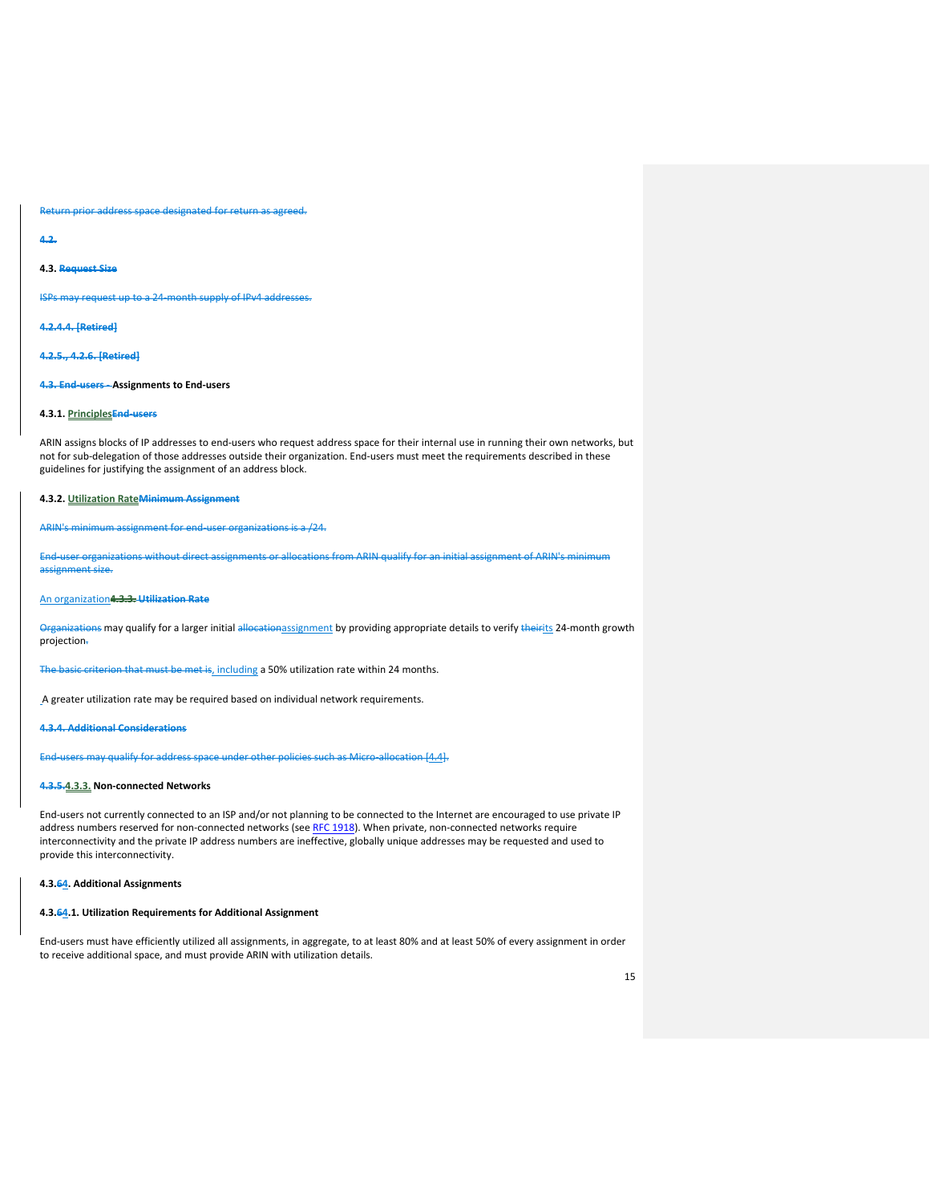Return prior address space designated for return as agreed.

**4.2.**

## **4.3. Request Size**

ISPs may request up to a 24-month supply of IPv4 addresses.

**4.2.4.4. [Retired]**

**4.2.5., 4.2.6. [Retired]**

## **4.3. End-users - Assignments to End-users**

## **4.3.1. PrinciplesEnd-users**

ARIN assigns blocks of IP addresses to end-users who request address space for their internal use in running their own networks, but not for sub-delegation of those addresses outside their organization. End-users must meet the requirements described in these guidelines for justifying the assignment of an address block.

## **4.3.2. Utilization RateMinimum Assignment**

ARIN's minimum assignment for end-user organizations is a /24.

End-user organizations without direct assignments or allocations from ARIN qualify for an initial assignment of ARIN's minimum assignment size.

## An organization**4.3.3. Utilization Rate**

Organizations may qualify for a larger initial allocationassignment by providing appropriate details to verify theirits 24-month growth projection.

The basic criterion that must be met is, including a 50% utilization rate within 24 months.

A greater utilization rate may be required based on individual network requirements.

**4.3.4. Additional Considerations**

End-users may qualify for address space under other policies such as Micro-allocation [4.4].

## **4.3.5.4.3.3. Non-connected Networks**

End-users not currently connected to an ISP and/or not planning to be connected to the Internet are encouraged to use private IP address numbers reserved for non-connected networks (se[e RFC 1918\)](https://www.arin.net/knowledge/rfc/rfc1918.txt). When private, non-connected networks require interconnectivity and the private IP address numbers are ineffective, globally unique addresses may be requested and used to provide this interconnectivity.

## **4.3.64. Additional Assignments**

#### **4.3.64.1. Utilization Requirements for Additional Assignment**

End-users must have efficiently utilized all assignments, in aggregate, to at least 80% and at least 50% of every assignment in order to receive additional space, and must provide ARIN with utilization details.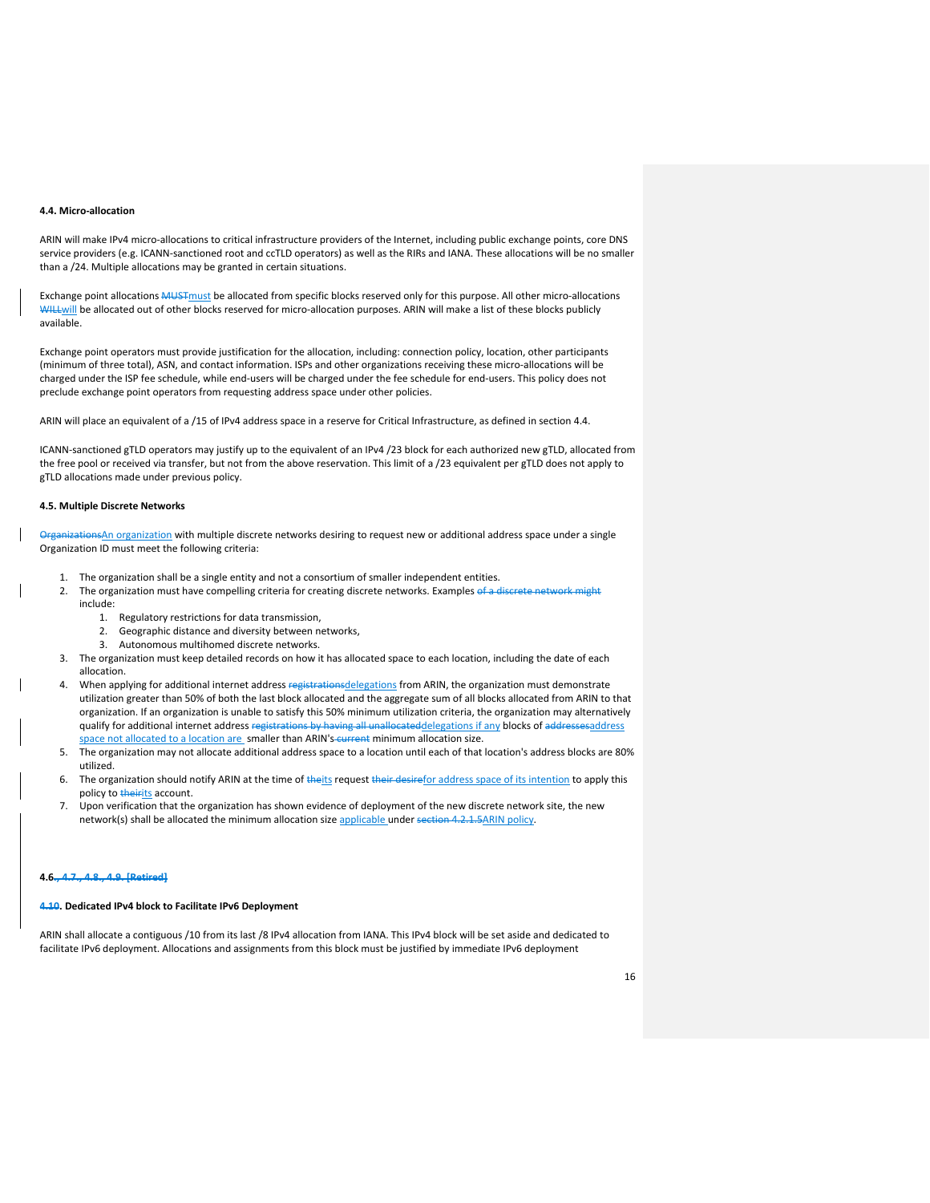#### **4.4. Micro-allocation**

ARIN will make IPv4 micro-allocations to critical infrastructure providers of the Internet, including public exchange points, core DNS service providers (e.g. ICANN-sanctioned root and ccTLD operators) as well as the RIRs and IANA. These allocations will be no smaller than a /24. Multiple allocations may be granted in certain situations.

Exchange point allocations MUSTmust be allocated from specific blocks reserved only for this purpose. All other micro-allocations WHLL-Will be allocated out of other blocks reserved for micro-allocation purposes. ARIN will make a list of these blocks publicly available.

Exchange point operators must provide justification for the allocation, including: connection policy, location, other participants (minimum of three total), ASN, and contact information. ISPs and other organizations receiving these micro-allocations will be charged under the ISP fee schedule, while end-users will be charged under the fee schedule for end-users. This policy does not preclude exchange point operators from requesting address space under other policies.

ARIN will place an equivalent of a /15 of IPv4 address space in a reserve for Critical Infrastructure, as defined in section 4.4.

ICANN-sanctioned gTLD operators may justify up to the equivalent of an IPv4 /23 block for each authorized new gTLD, allocated from the free pool or received via transfer, but not from the above reservation. This limit of a /23 equivalent per gTLD does not apply to gTLD allocations made under previous policy.

#### **4.5. Multiple Discrete Networks**

OrganizationsAn organization with multiple discrete networks desiring to request new or additional address space under a single Organization ID must meet the following criteria:

- 1. The organization shall be a single entity and not a consortium of smaller independent entities.
- 2. The organization must have compelling criteria for creating discrete networks. Examples of a discrete network might
	- include:
		- 1. Regulatory restrictions for data transmission,
		- 2. Geographic distance and diversity between networks,
		- 3. Autonomous multihomed discrete networks.
- 3. The organization must keep detailed records on how it has allocated space to each location, including the date of each allocation.
- 4. When applying for additional internet address registrationsdelegations from ARIN, the organization must demonstrate utilization greater than 50% of both the last block allocated and the aggregate sum of all blocks allocated from ARIN to that organization. If an organization is unable to satisfy this 50% minimum utilization criteria, the organization may alternatively qualify for additional internet address registrations by having all unallocateddelegations if any blocks of addressesaddress space not allocated to a location are smaller than ARIN's-current minimum allocation size.
- 5. The organization may not allocate additional address space to a location until each of that location's address blocks are 80% utilized.
- 6. The organization should notify ARIN at the time of theits request their desirefor address space of its intention to apply this policy to theirits account.
- 7. Upon verification that the organization has shown evidence of deployment of the new discrete network site, the new network(s) shall be allocated the minimum allocation size applicable under section 4.2.1.5ARIN policy.

#### **4.6., 4.7., 4.8., 4.9. [Retired]**

#### **4.10. Dedicated IPv4 block to Facilitate IPv6 Deployment**

ARIN shall allocate a contiguous /10 from its last /8 IPv4 allocation from IANA. This IPv4 block will be set aside and dedicated to facilitate IPv6 deployment. Allocations and assignments from this block must be justified by immediate IPv6 deployment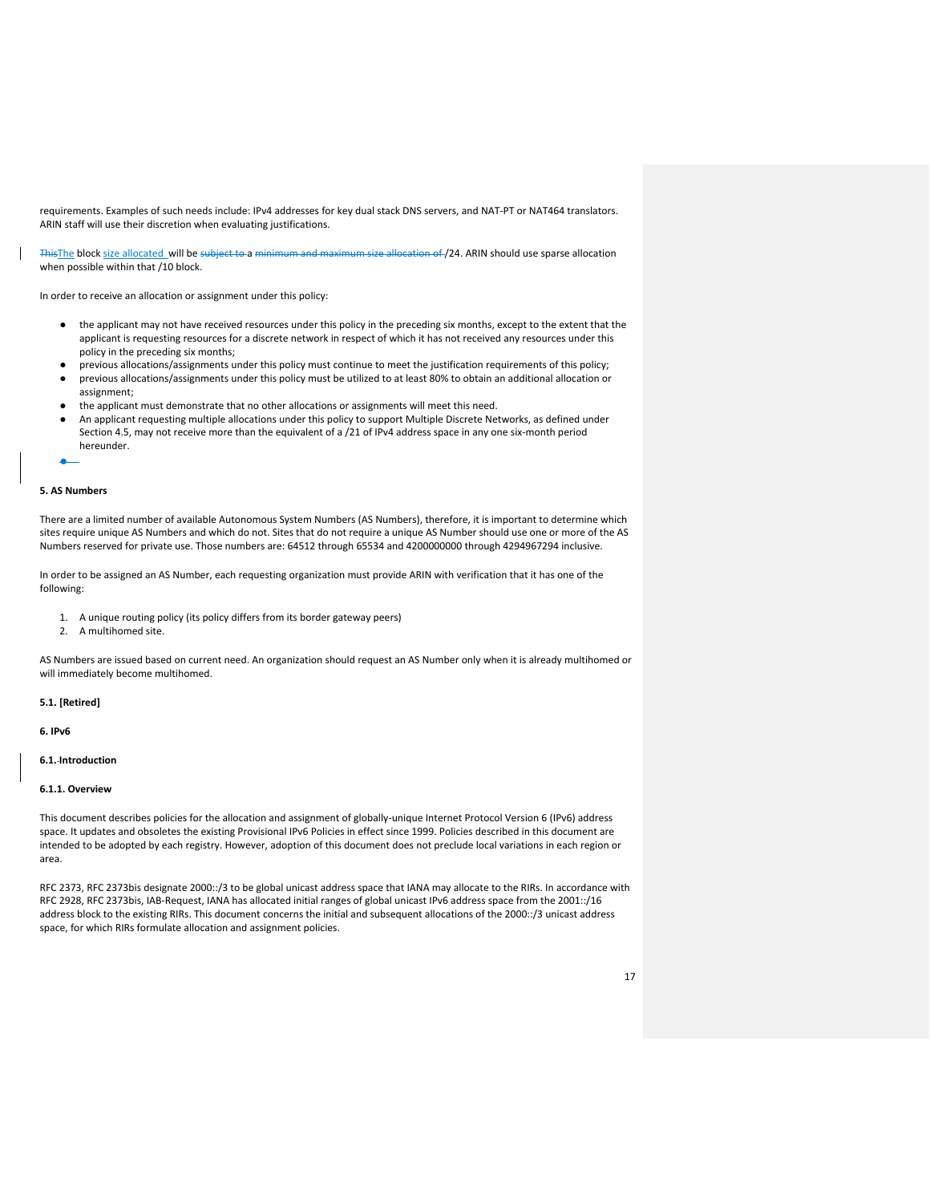requirements. Examples of such needs include: IPv4 addresses for key dual stack DNS servers, and NAT-PT or NAT464 translators. ARIN staff will use their discretion when evaluating justifications.

ThisThe block size allocated will be subject to a minimum and maximum size allocation of /24. ARIN should use sparse allocation when possible within that /10 block.

In order to receive an allocation or assignment under this policy:

- the applicant may not have received resources under this policy in the preceding six months, except to the extent that the applicant is requesting resources for a discrete network in respect of which it has not received any resources under this policy in the preceding six months;
- previous allocations/assignments under this policy must continue to meet the justification requirements of this policy;
- previous allocations/assignments under this policy must be utilized to at least 80% to obtain an additional allocation or assignment;
- the applicant must demonstrate that no other allocations or assignments will meet this need.
- An applicant requesting multiple allocations under this policy to support Multiple Discrete Networks, as defined under Section 4.5, may not receive more than the equivalent of a /21 of IPv4 address space in any one six-month period hereunder.

```
●
```
## **5. AS Numbers**

There are a limited number of available Autonomous System Numbers (AS Numbers), therefore, it is important to determine which sites require unique AS Numbers and which do not. Sites that do not require a unique AS Number should use one or more of the AS Numbers reserved for private use. Those numbers are: 64512 through 65534 and 4200000000 through 4294967294 inclusive.

In order to be assigned an AS Number, each requesting organization must provide ARIN with verification that it has one of the following:

- 1. A unique routing policy (its policy differs from its border gateway peers)
- 2. A multihomed site.

AS Numbers are issued based on current need. An organization should request an AS Number only when it is already multihomed or will immediately become multihomed.

## **5.1. [Retired]**

**6. IPv6**

## **6.1. Introduction**

#### **6.1.1. Overview**

This document describes policies for the allocation and assignment of globally-unique Internet Protocol Version 6 (IPv6) address space. It updates and obsoletes the existing Provisional IPv6 Policies in effect since 1999. Policies described in this document are intended to be adopted by each registry. However, adoption of this document does not preclude local variations in each region or area.

RFC 2373, RFC 2373bis designate 2000::/3 to be global unicast address space that IANA may allocate to the RIRs. In accordance with RFC 2928, RFC 2373bis, IAB-Request, IANA has allocated initial ranges of global unicast IPv6 address space from the 2001::/16 address block to the existing RIRs. This document concerns the initial and subsequent allocations of the 2000::/3 unicast address space, for which RIRs formulate allocation and assignment policies.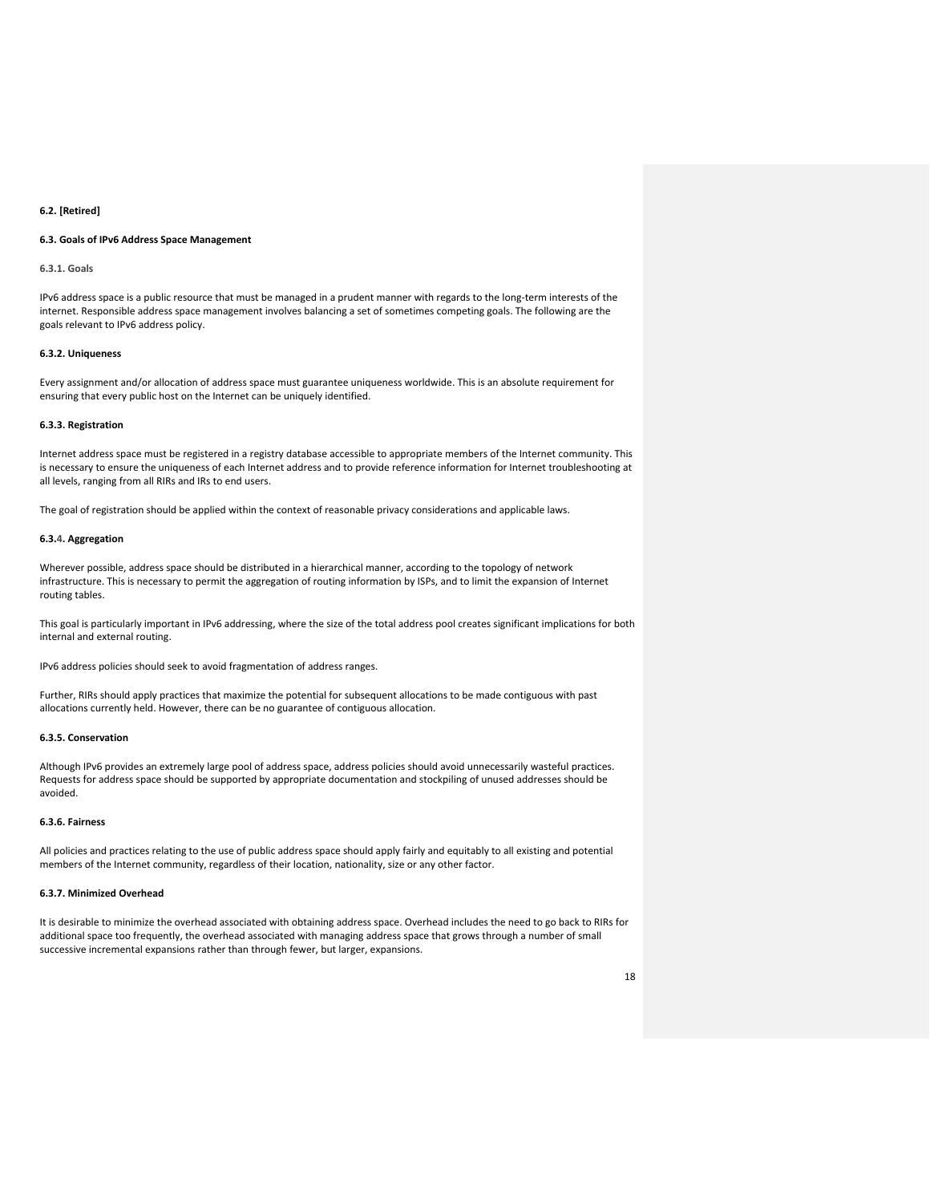#### **6.2. [Retired]**

## **6.3. Goals of IPv6 Address Space Management**

## **6.3.1. Goals**

IPv6 address space is a public resource that must be managed in a prudent manner with regards to the long-term interests of the internet. Responsible address space management involves balancing a set of sometimes competing goals. The following are the goals relevant to IPv6 address policy.

## **6.3.2. Uniqueness**

Every assignment and/or allocation of address space must guarantee uniqueness worldwide. This is an absolute requirement for ensuring that every public host on the Internet can be uniquely identified.

## **6.3.3. Registration**

Internet address space must be registered in a registry database accessible to appropriate members of the Internet community. This is necessary to ensure the uniqueness of each Internet address and to provide reference information for Internet troubleshooting at all levels, ranging from all RIRs and IRs to end users.

The goal of registration should be applied within the context of reasonable privacy considerations and applicable laws.

## **6.3.4. Aggregation**

Wherever possible, address space should be distributed in a hierarchical manner, according to the topology of network infrastructure. This is necessary to permit the aggregation of routing information by ISPs, and to limit the expansion of Internet routing tables.

This goal is particularly important in IPv6 addressing, where the size of the total address pool creates significant implications for both internal and external routing.

IPv6 address policies should seek to avoid fragmentation of address ranges.

Further, RIRs should apply practices that maximize the potential for subsequent allocations to be made contiguous with past allocations currently held. However, there can be no guarantee of contiguous allocation.

#### **6.3.5. Conservation**

Although IPv6 provides an extremely large pool of address space, address policies should avoid unnecessarily wasteful practices. Requests for address space should be supported by appropriate documentation and stockpiling of unused addresses should be avoided.

## **6.3.6. Fairness**

All policies and practices relating to the use of public address space should apply fairly and equitably to all existing and potential members of the Internet community, regardless of their location, nationality, size or any other factor.

## **6.3.7. Minimized Overhead**

It is desirable to minimize the overhead associated with obtaining address space. Overhead includes the need to go back to RIRs for additional space too frequently, the overhead associated with managing address space that grows through a number of small successive incremental expansions rather than through fewer, but larger, expansions.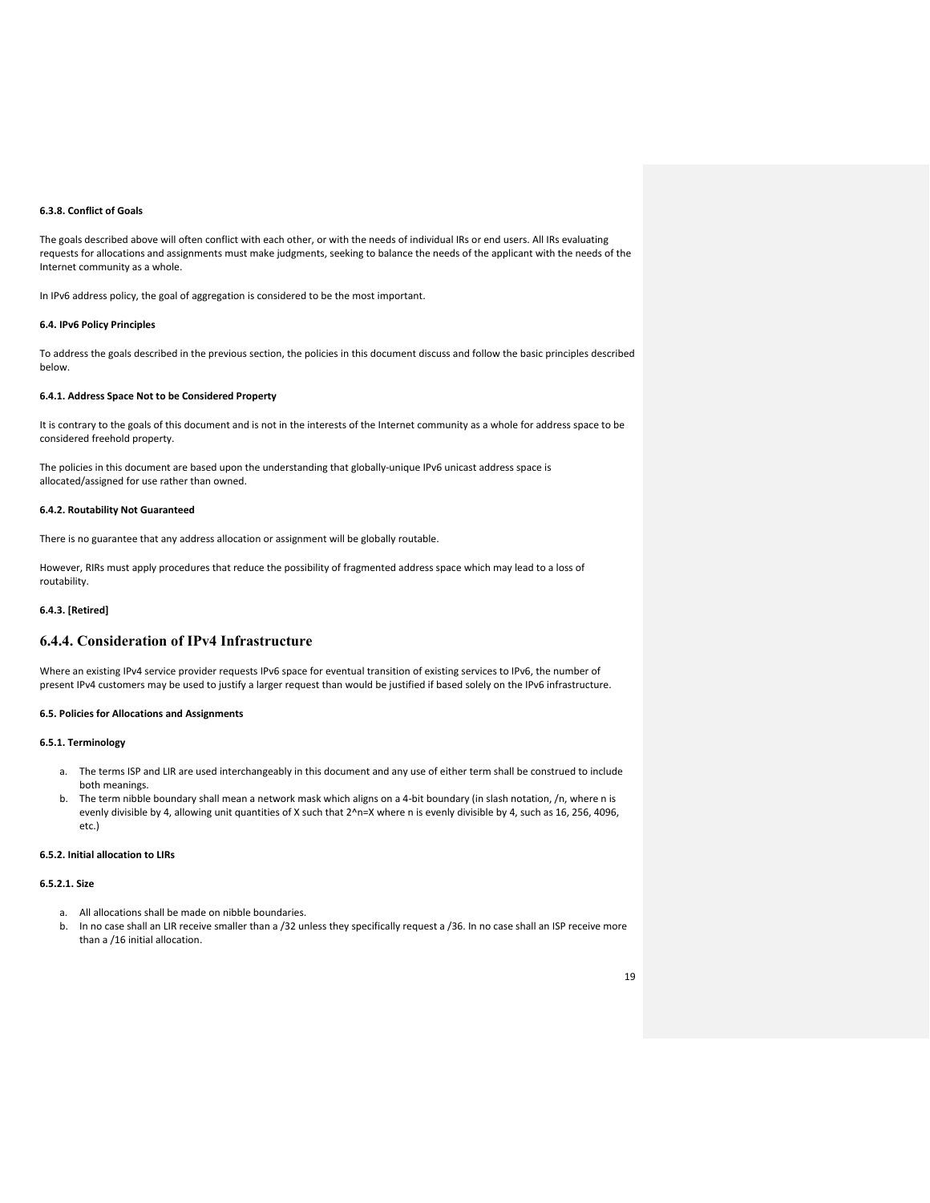#### **6.3.8. Conflict of Goals**

The goals described above will often conflict with each other, or with the needs of individual IRs or end users. All IRs evaluating requests for allocations and assignments must make judgments, seeking to balance the needs of the applicant with the needs of the Internet community as a whole.

In IPv6 address policy, the goal of aggregation is considered to be the most important.

## **6.4. IPv6 Policy Principles**

To address the goals described in the previous section, the policies in this document discuss and follow the basic principles described below.

## **6.4.1. Address Space Not to be Considered Property**

It is contrary to the goals of this document and is not in the interests of the Internet community as a whole for address space to be considered freehold property.

The policies in this document are based upon the understanding that globally-unique IPv6 unicast address space is allocated/assigned for use rather than owned.

## **6.4.2. Routability Not Guaranteed**

There is no guarantee that any address allocation or assignment will be globally routable.

However, RIRs must apply procedures that reduce the possibility of fragmented address space which may lead to a loss of routability.

## **6.4.3. [Retired]**

## **6.4.4. Consideration of IPv4 Infrastructure**

Where an existing IPv4 service provider requests IPv6 space for eventual transition of existing services to IPv6, the number of present IPv4 customers may be used to justify a larger request than would be justified if based solely on the IPv6 infrastructure.

## **6.5. Policies for Allocations and Assignments**

## **6.5.1. Terminology**

- a. The terms ISP and LIR are used interchangeably in this document and any use of either term shall be construed to include both meanings.
- b. The term nibble boundary shall mean a network mask which aligns on a 4-bit boundary (in slash notation, /n, where n is evenly divisible by 4, allowing unit quantities of X such that 2^n=X where n is evenly divisible by 4, such as 16, 256, 4096, etc.)

## **6.5.2. Initial allocation to LIRs**

## **6.5.2.1. Size**

- a. All allocations shall be made on nibble boundaries.
- b. In no case shall an LIR receive smaller than a /32 unless they specifically request a /36. In no case shall an ISP receive more than a /16 initial allocation.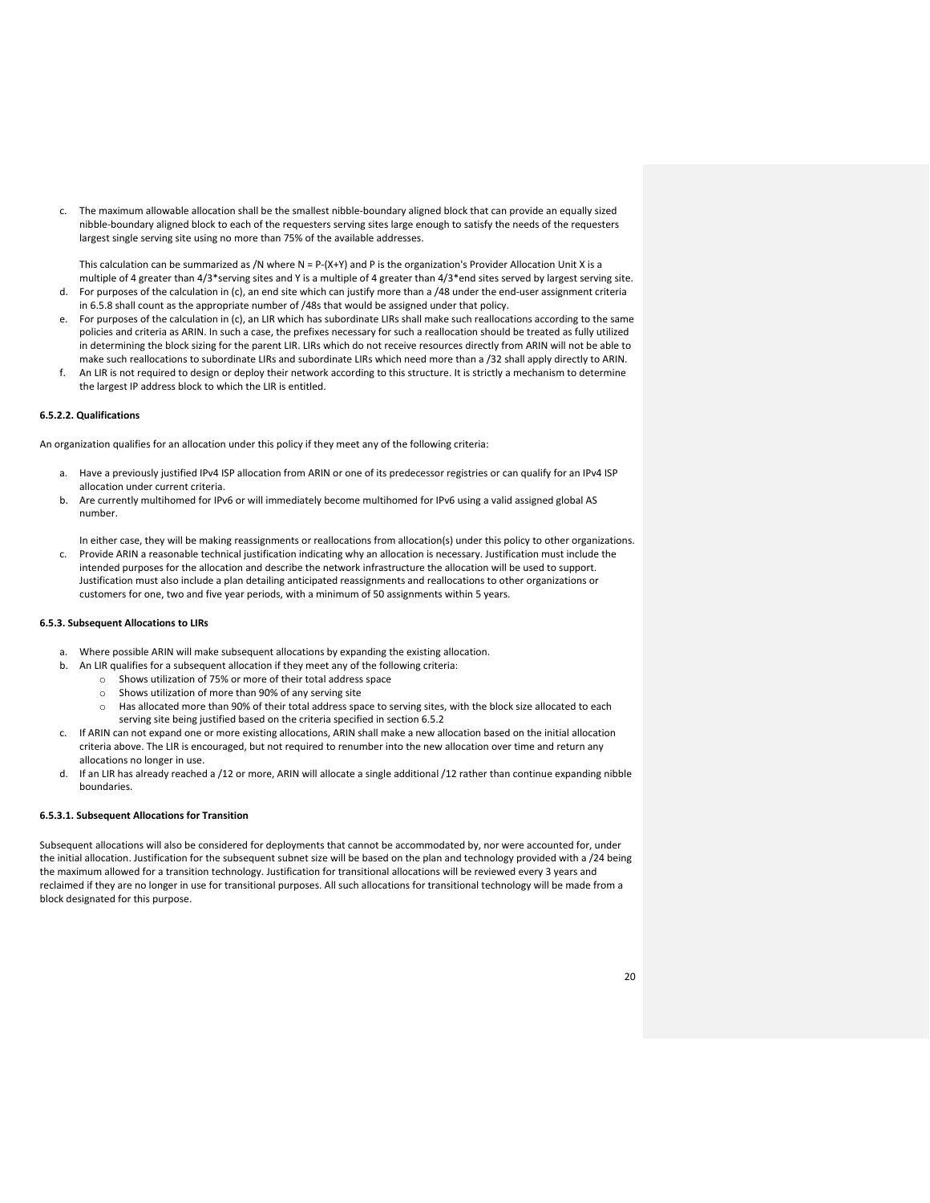c. The maximum allowable allocation shall be the smallest nibble-boundary aligned block that can provide an equally sized nibble-boundary aligned block to each of the requesters serving sites large enough to satisfy the needs of the requesters largest single serving site using no more than 75% of the available addresses.

This calculation can be summarized as /N where  $N = P-(X+Y)$  and P is the organization's Provider Allocation Unit X is a multiple of 4 greater than 4/3\*serving sites and Y is a multiple of 4 greater than 4/3\*end sites served by largest serving site. d. For purposes of the calculation in (c), an end site which can justify more than a /48 under the end-user assignment criteria

- in 6.5.8 shall count as the appropriate number of /48s that would be assigned under that policy. e. For purposes of the calculation in (c), an LIR which has subordinate LIRs shall make such reallocations according to the same
- policies and criteria as ARIN. In such a case, the prefixes necessary for such a reallocation should be treated as fully utilized in determining the block sizing for the parent LIR. LIRs which do not receive resources directly from ARIN will not be able to make such reallocations to subordinate LIRs and subordinate LIRs which need more than a /32 shall apply directly to ARIN.
- f. An LIR is not required to design or deploy their network according to this structure. It is strictly a mechanism to determine the largest IP address block to which the LIR is entitled.

## **6.5.2.2. Qualifications**

An organization qualifies for an allocation under this policy if they meet any of the following criteria:

- Have a previously justified IPv4 ISP allocation from ARIN or one of its predecessor registries or can qualify for an IPv4 ISP allocation under current criteria.
- b. Are currently multihomed for IPv6 or will immediately become multihomed for IPv6 using a valid assigned global AS number.

In either case, they will be making reassignments or reallocations from allocation(s) under this policy to other organizations.

c. Provide ARIN a reasonable technical justification indicating why an allocation is necessary. Justification must include the intended purposes for the allocation and describe the network infrastructure the allocation will be used to support. Justification must also include a plan detailing anticipated reassignments and reallocations to other organizations or customers for one, two and five year periods, with a minimum of 50 assignments within 5 years.

## **6.5.3. Subsequent Allocations to LIRs**

- a. Where possible ARIN will make subsequent allocations by expanding the existing allocation.
- b. An LIR qualifies for a subsequent allocation if they meet any of the following criteria:
	- o Shows utilization of 75% or more of their total address space
	- $\circ$  Shows utilization of more than 90% of any serving site<br> $\circ$  Has allocated more than 90% of their total address spa
	- Has allocated more than 90% of their total address space to serving sites, with the block size allocated to each serving site being justified based on the criteria specified in section 6.5.2
- c. If ARIN can not expand one or more existing allocations, ARIN shall make a new allocation based on the initial allocation criteria above. The LIR is encouraged, but not required to renumber into the new allocation over time and return any allocations no longer in use.
- d. If an LIR has already reached a /12 or more, ARIN will allocate a single additional /12 rather than continue expanding nibble boundaries.

## **6.5.3.1. Subsequent Allocations for Transition**

Subsequent allocations will also be considered for deployments that cannot be accommodated by, nor were accounted for, under the initial allocation. Justification for the subsequent subnet size will be based on the plan and technology provided with a /24 being the maximum allowed for a transition technology. Justification for transitional allocations will be reviewed every 3 years and reclaimed if they are no longer in use for transitional purposes. All such allocations for transitional technology will be made from a block designated for this purpose.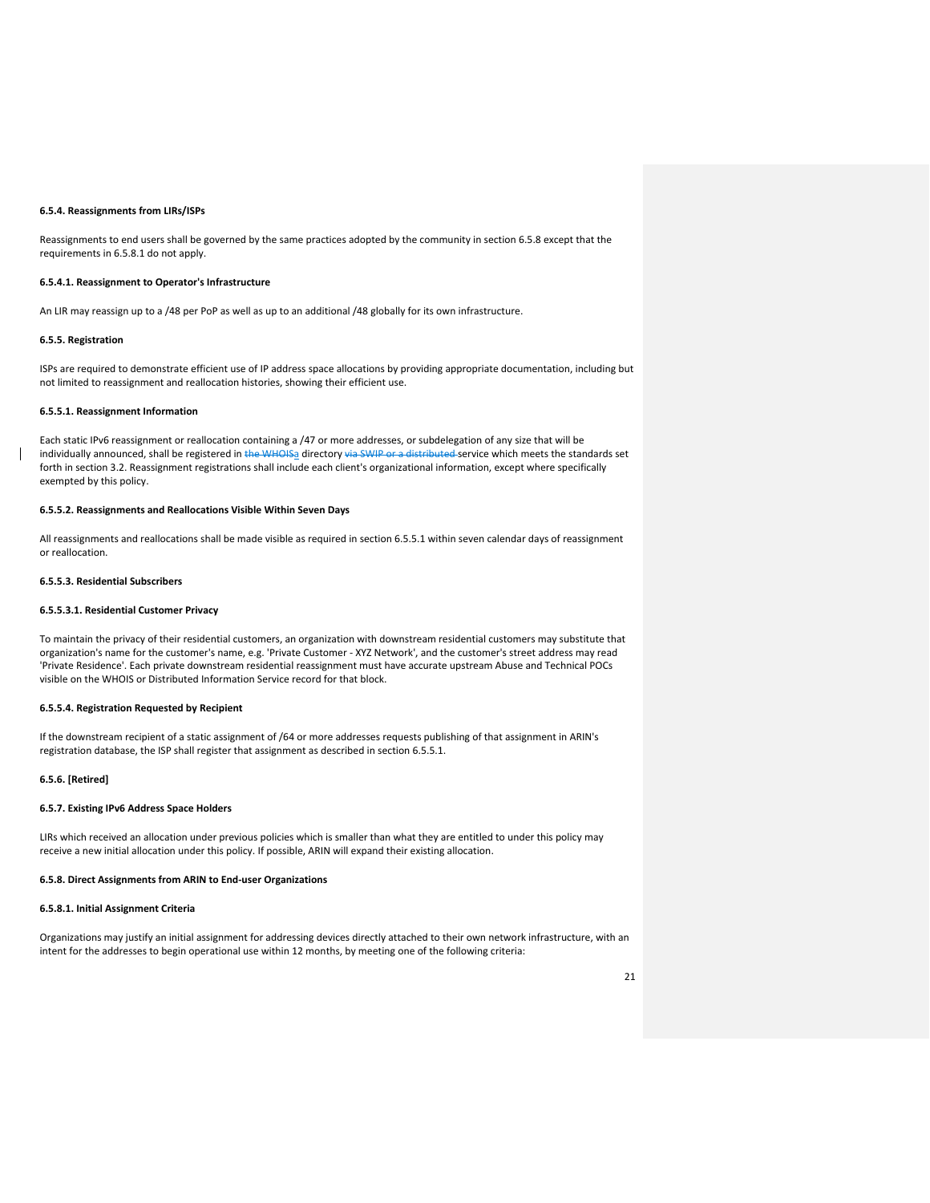#### **6.5.4. Reassignments from LIRs/ISPs**

Reassignments to end users shall be governed by the same practices adopted by the community in section 6.5.8 except that the requirements in 6.5.8.1 do not apply.

#### **6.5.4.1. Reassignment to Operator's Infrastructure**

An LIR may reassign up to a /48 per PoP as well as up to an additional /48 globally for its own infrastructure.

## **6.5.5. Registration**

ISPs are required to demonstrate efficient use of IP address space allocations by providing appropriate documentation, including but not limited to reassignment and reallocation histories, showing their efficient use.

## **6.5.5.1. Reassignment Information**

Each static IPv6 reassignment or reallocation containing a /47 or more addresses, or subdelegation of any size that will be individually announced, shall be registered in the WHOISa directory via SWIP or a distributed service which meets the standards set forth in section 3.2. Reassignment registrations shall include each client's organizational information, except where specifically exempted by this policy.

## **6.5.5.2. Reassignments and Reallocations Visible Within Seven Days**

All reassignments and reallocations shall be made visible as required in section 6.5.5.1 within seven calendar days of reassignment or reallocation.

#### **6.5.5.3. Residential Subscribers**

## **6.5.5.3.1. Residential Customer Privacy**

To maintain the privacy of their residential customers, an organization with downstream residential customers may substitute that organization's name for the customer's name, e.g. 'Private Customer - XYZ Network', and the customer's street address may read 'Private Residence'. Each private downstream residential reassignment must have accurate upstream Abuse and Technical POCs visible on the WHOIS or Distributed Information Service record for that block.

## **6.5.5.4. Registration Requested by Recipient**

If the downstream recipient of a static assignment of /64 or more addresses requests publishing of that assignment in ARIN's registration database, the ISP shall register that assignment as described in section 6.5.5.1.

## **6.5.6. [Retired]**

#### **6.5.7. Existing IPv6 Address Space Holders**

LIRs which received an allocation under previous policies which is smaller than what they are entitled to under this policy may receive a new initial allocation under this policy. If possible, ARIN will expand their existing allocation.

#### **6.5.8. Direct Assignments from ARIN to End-user Organizations**

## **6.5.8.1. Initial Assignment Criteria**

Organizations may justify an initial assignment for addressing devices directly attached to their own network infrastructure, with an intent for the addresses to begin operational use within 12 months, by meeting one of the following criteria: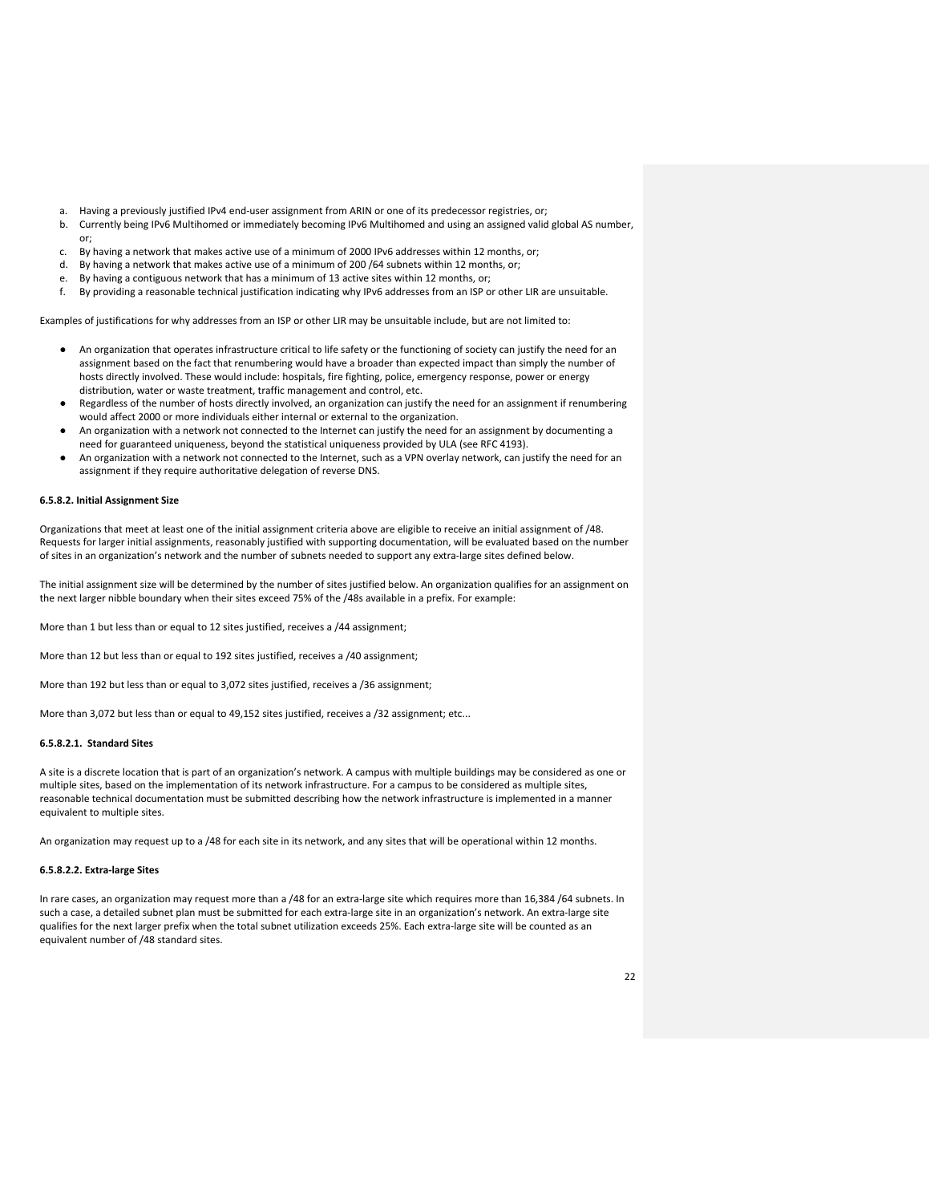- a. Having a previously justified IPv4 end-user assignment from ARIN or one of its predecessor registries, or;
- b. Currently being IPv6 Multihomed or immediately becoming IPv6 Multihomed and using an assigned valid global AS number, or;
- c. By having a network that makes active use of a minimum of 2000 IPv6 addresses within 12 months, or;
- d. By having a network that makes active use of a minimum of 200 /64 subnets within 12 months, or;
- e. By having a contiguous network that has a minimum of 13 active sites within 12 months, or;
- f. By providing a reasonable technical justification indicating why IPv6 addresses from an ISP or other LIR are unsuitable.

Examples of justifications for why addresses from an ISP or other LIR may be unsuitable include, but are not limited to:

- An organization that operates infrastructure critical to life safety or the functioning of society can justify the need for an assignment based on the fact that renumbering would have a broader than expected impact than simply the number of hosts directly involved. These would include: hospitals, fire fighting, police, emergency response, power or energy distribution, water or waste treatment, traffic management and control, etc.
- Regardless of the number of hosts directly involved, an organization can justify the need for an assignment if renumbering would affect 2000 or more individuals either internal or external to the organization.
- An organization with a network not connected to the Internet can justify the need for an assignment by documenting a need for guaranteed uniqueness, beyond the statistical uniqueness provided by ULA (see RFC 4193).
- An organization with a network not connected to the Internet, such as a VPN overlay network, can justify the need for an assignment if they require authoritative delegation of reverse DNS.

#### **6.5.8.2. Initial Assignment Size**

Organizations that meet at least one of the initial assignment criteria above are eligible to receive an initial assignment of /48. Requests for larger initial assignments, reasonably justified with supporting documentation, will be evaluated based on the number of sites in an organization's network and the number of subnets needed to support any extra-large sites defined below.

The initial assignment size will be determined by the number of sites justified below. An organization qualifies for an assignment on the next larger nibble boundary when their sites exceed 75% of the /48s available in a prefix. For example:

More than 1 but less than or equal to 12 sites justified, receives a /44 assignment;

More than 12 but less than or equal to 192 sites justified, receives a /40 assignment;

More than 192 but less than or equal to 3,072 sites justified, receives a /36 assignment;

More than 3,072 but less than or equal to 49,152 sites justified, receives a /32 assignment; etc...

## **6.5.8.2.1. Standard Sites**

A site is a discrete location that is part of an organization's network. A campus with multiple buildings may be considered as one or multiple sites, based on the implementation of its network infrastructure. For a campus to be considered as multiple sites, reasonable technical documentation must be submitted describing how the network infrastructure is implemented in a manner equivalent to multiple sites.

An organization may request up to a /48 for each site in its network, and any sites that will be operational within 12 months.

#### **6.5.8.2.2. Extra-large Sites**

In rare cases, an organization may request more than a /48 for an extra-large site which requires more than 16,384 /64 subnets. In such a case, a detailed subnet plan must be submitted for each extra-large site in an organization's network. An extra-large site qualifies for the next larger prefix when the total subnet utilization exceeds 25%. Each extra-large site will be counted as an equivalent number of /48 standard sites.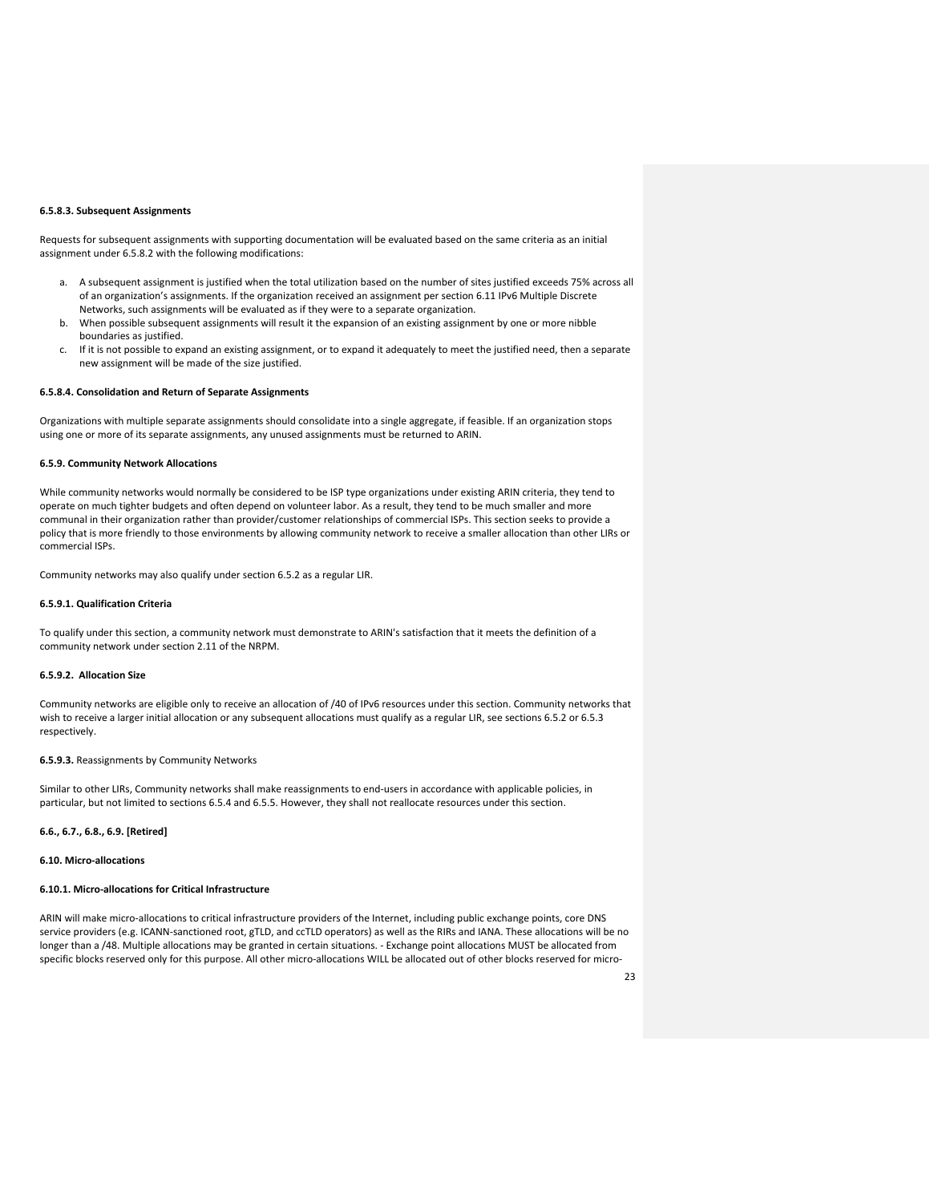## **6.5.8.3. Subsequent Assignments**

Requests for subsequent assignments with supporting documentation will be evaluated based on the same criteria as an initial assignment under 6.5.8.2 with the following modifications:

- a. A subsequent assignment is justified when the total utilization based on the number of sites justified exceeds 75% across all of an organization's assignments. If the organization received an assignment per section 6.11 IPv6 Multiple Discrete Networks, such assignments will be evaluated as if they were to a separate organization.
- b. When possible subsequent assignments will result it the expansion of an existing assignment by one or more nibble boundaries as justified.
- c. If it is not possible to expand an existing assignment, or to expand it adequately to meet the justified need, then a separate new assignment will be made of the size justified.

## **6.5.8.4. Consolidation and Return of Separate Assignments**

Organizations with multiple separate assignments should consolidate into a single aggregate, if feasible. If an organization stops using one or more of its separate assignments, any unused assignments must be returned to ARIN.

#### **6.5.9. Community Network Allocations**

While community networks would normally be considered to be ISP type organizations under existing ARIN criteria, they tend to operate on much tighter budgets and often depend on volunteer labor. As a result, they tend to be much smaller and more communal in their organization rather than provider/customer relationships of commercial ISPs. This section seeks to provide a policy that is more friendly to those environments by allowing community network to receive a smaller allocation than other LIRs or commercial ISPs.

Community networks may also qualify under section 6.5.2 as a regular LIR.

## **6.5.9.1. Qualification Criteria**

To qualify under this section, a community network must demonstrate to ARIN's satisfaction that it meets the definition of a community network under section 2.11 of the NRPM.

## **6.5.9.2. Allocation Size**

Community networks are eligible only to receive an allocation of /40 of IPv6 resources under this section. Community networks that wish to receive a larger initial allocation or any subsequent allocations must qualify as a regular LIR, see sections 6.5.2 or 6.5.3 respectively.

#### **6.5.9.3.** Reassignments by Community Networks

Similar to other LIRs, Community networks shall make reassignments to end-users in accordance with applicable policies, in particular, but not limited to sections 6.5.4 and 6.5.5. However, they shall not reallocate resources under this section.

## **6.6., 6.7., 6.8., 6.9. [Retired]**

**6.10. Micro-allocations**

## **6.10.1. Micro-allocations for Critical Infrastructure**

ARIN will make micro-allocations to critical infrastructure providers of the Internet, including public exchange points, core DNS service providers (e.g. ICANN-sanctioned root, gTLD, and ccTLD operators) as well as the RIRs and IANA. These allocations will be no longer than a /48. Multiple allocations may be granted in certain situations. - Exchange point allocations MUST be allocated from specific blocks reserved only for this purpose. All other micro-allocations WILL be allocated out of other blocks reserved for micro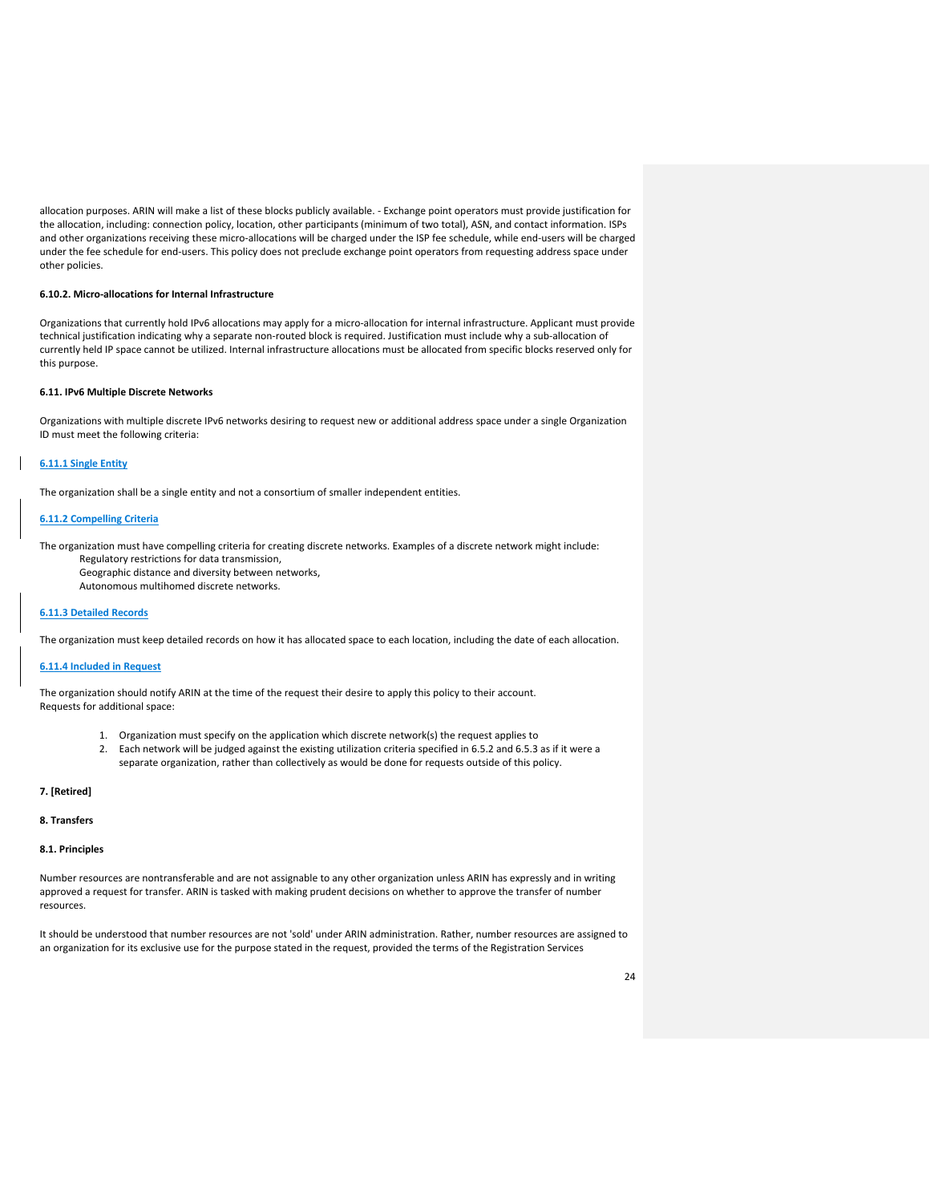allocation purposes. ARIN will make a list of these blocks publicly available. - Exchange point operators must provide justification for the allocation, including: connection policy, location, other participants (minimum of two total), ASN, and contact information. ISPs and other organizations receiving these micro-allocations will be charged under the ISP fee schedule, while end-users will be charged under the fee schedule for end-users. This policy does not preclude exchange point operators from requesting address space under other policies.

## **6.10.2. Micro-allocations for Internal Infrastructure**

Organizations that currently hold IPv6 allocations may apply for a micro-allocation for internal infrastructure. Applicant must provide technical justification indicating why a separate non-routed block is required. Justification must include why a sub-allocation of currently held IP space cannot be utilized. Internal infrastructure allocations must be allocated from specific blocks reserved only for this purpose.

## **6.11. IPv6 Multiple Discrete Networks**

Organizations with multiple discrete IPv6 networks desiring to request new or additional address space under a single Organization ID must meet the following criteria:

## **6.11.1 Single Entity**

The organization shall be a single entity and not a consortium of smaller independent entities.

## **6.11.2 Compelling Criteria**

The organization must have compelling criteria for creating discrete networks. Examples of a discrete network might include:

- Regulatory restrictions for data transmission,
- Geographic distance and diversity between networks,
- Autonomous multihomed discrete networks.

## **6.11.3 Detailed Records**

The organization must keep detailed records on how it has allocated space to each location, including the date of each allocation.

## **6.11.4 Included in Request**

The organization should notify ARIN at the time of the request their desire to apply this policy to their account. Requests for additional space:

- 1. Organization must specify on the application which discrete network(s) the request applies to
- 2. Each network will be judged against the existing utilization criteria specified in 6.5.2 and 6.5.3 as if it were a separate organization, rather than collectively as would be done for requests outside of this policy.

## **7. [Retired]**

## **8. Transfers**

## **8.1. Principles**

Number resources are nontransferable and are not assignable to any other organization unless ARIN has expressly and in writing approved a request for transfer. ARIN is tasked with making prudent decisions on whether to approve the transfer of number resources.

It should be understood that number resources are not 'sold' under ARIN administration. Rather, number resources are assigned to an organization for its exclusive use for the purpose stated in the request, provided the terms of the Registration Services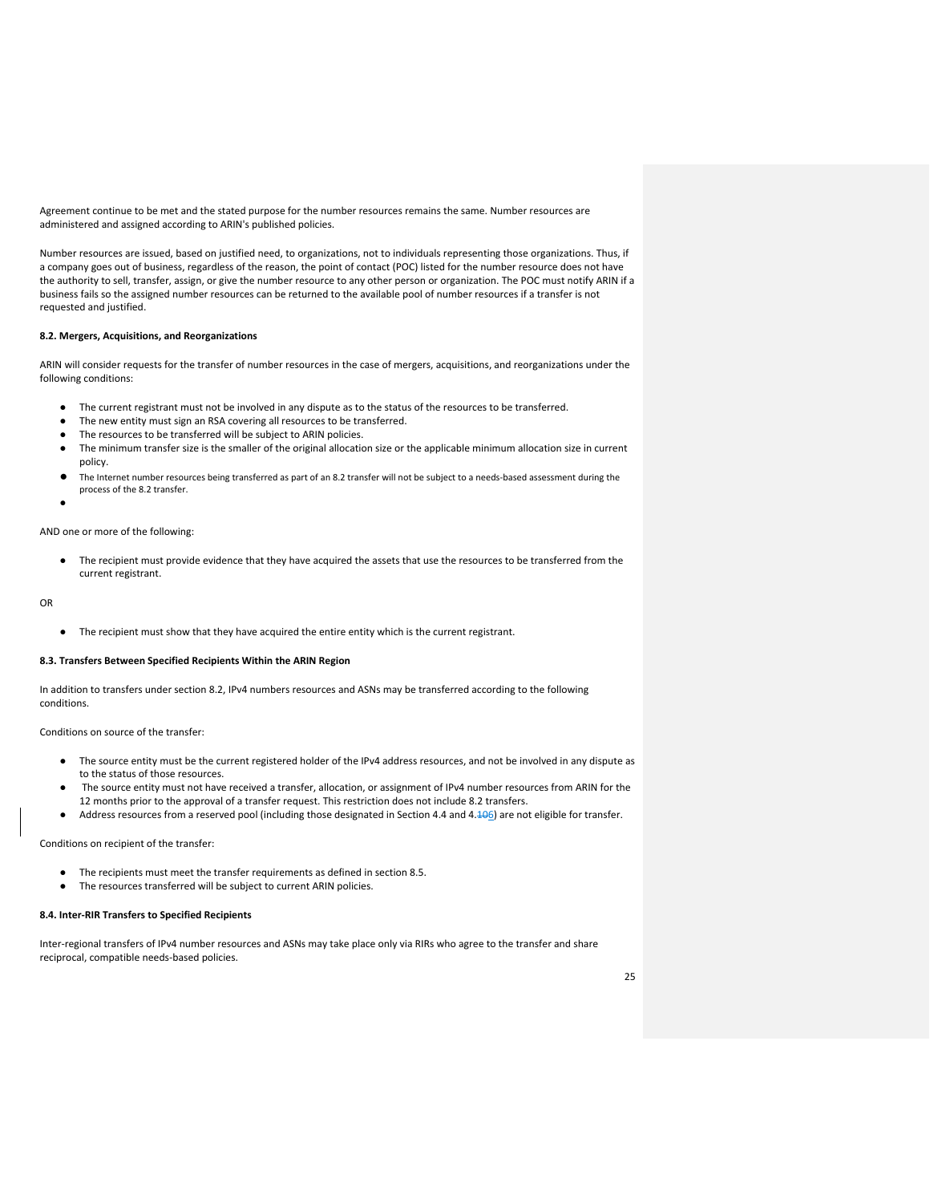Agreement continue to be met and the stated purpose for the number resources remains the same. Number resources are administered and assigned according to ARIN's published policies.

Number resources are issued, based on justified need, to organizations, not to individuals representing those organizations. Thus, if a company goes out of business, regardless of the reason, the point of contact (POC) listed for the number resource does not have the authority to sell, transfer, assign, or give the number resource to any other person or organization. The POC must notify ARIN if a business fails so the assigned number resources can be returned to the available pool of number resources if a transfer is not requested and justified.

## **8.2. Mergers, Acquisitions, and Reorganizations**

ARIN will consider requests for the transfer of number resources in the case of mergers, acquisitions, and reorganizations under the following conditions:

- The current registrant must not be involved in any dispute as to the status of the resources to be transferred.
- The new entity must sign an RSA covering all resources to be transferred.
- The resources to be transferred will be subject to ARIN policies.
- The minimum transfer size is the smaller of the original allocation size or the applicable minimum allocation size in current policy.
- The Internet number resources being transferred as part of an 8.2 transfer will not be subject to a needs-based assessment during the process of the 8.2 transfer.
- ●

## AND one or more of the following:

The recipient must provide evidence that they have acquired the assets that use the resources to be transferred from the current registrant.

OR

● The recipient must show that they have acquired the entire entity which is the current registrant.

## **8.3. Transfers Between Specified Recipients Within the ARIN Region**

In addition to transfers under section 8.2, IPv4 numbers resources and ASNs may be transferred according to the following conditions.

Conditions on source of the transfer:

- The source entity must be the current registered holder of the IPv4 address resources, and not be involved in any dispute as to the status of those resources.
- The source entity must not have received a transfer, allocation, or assignment of IPv4 number resources from ARIN for the 12 months prior to the approval of a transfer request. This restriction does not include 8.2 transfers.
- Address resources from a reserved pool (including those designated in Section 4.4 and 4.106) are not eligible for transfer.

Conditions on recipient of the transfer:

- The recipients must meet the transfer requirements as defined in section 8.5.
- The resources transferred will be subject to current ARIN policies.

#### **8.4. Inter-RIR Transfers to Specified Recipients**

Inter-regional transfers of IPv4 number resources and ASNs may take place only via RIRs who agree to the transfer and share reciprocal, compatible needs-based policies.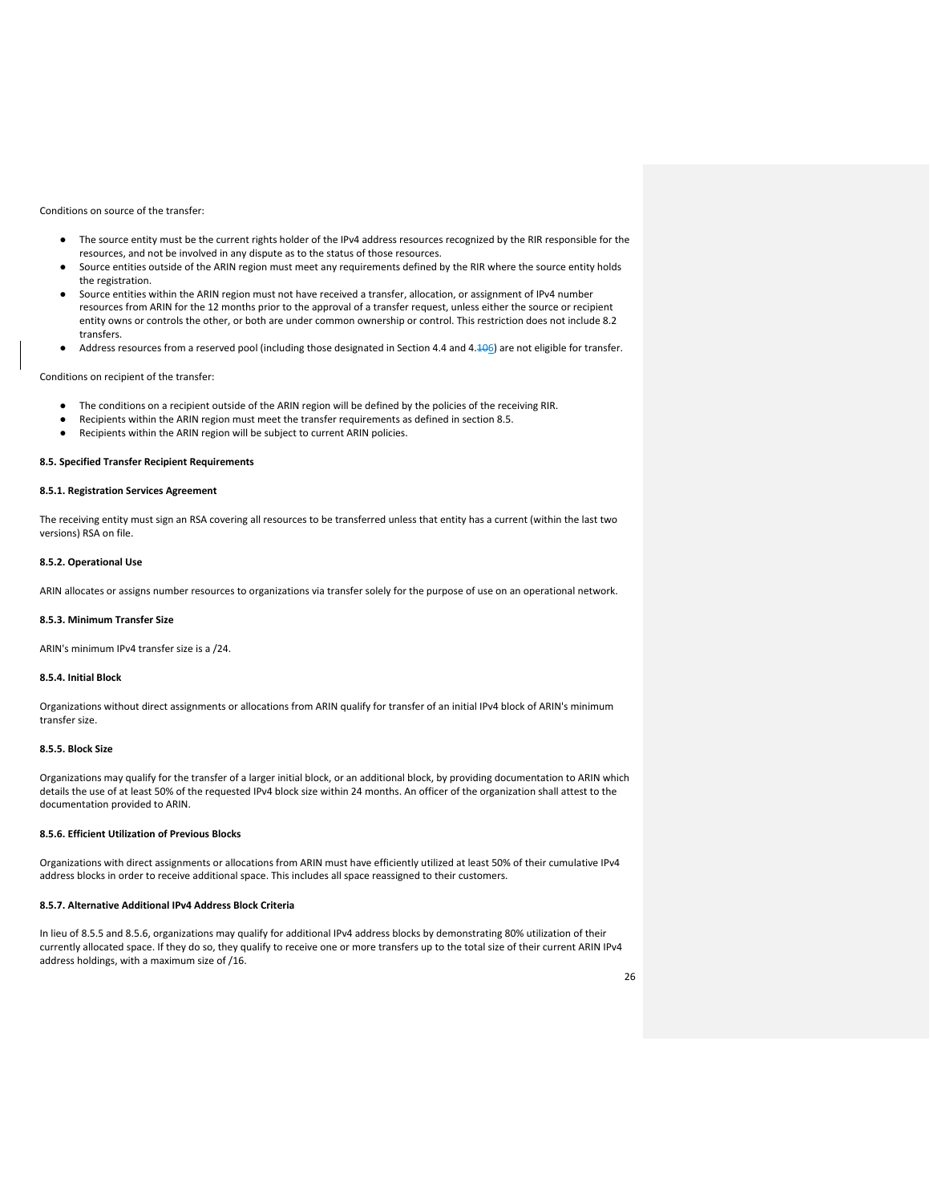Conditions on source of the transfer:

- The source entity must be the current rights holder of the IPv4 address resources recognized by the RIR responsible for the resources, and not be involved in any dispute as to the status of those resources.
- Source entities outside of the ARIN region must meet any requirements defined by the RIR where the source entity holds the registration.
- Source entities within the ARIN region must not have received a transfer, allocation, or assignment of IPv4 number resources from ARIN for the 12 months prior to the approval of a transfer request, unless either the source or recipient entity owns or controls the other, or both are under common ownership or control. This restriction does not include 8.2 transfers.
- Address resources from a reserved pool (including those designated in Section 4.4 and 4.406) are not eligible for transfer.

Conditions on recipient of the transfer:

- The conditions on a recipient outside of the ARIN region will be defined by the policies of the receiving RIR.
- Recipients within the ARIN region must meet the transfer requirements as defined in section 8.5.
- Recipients within the ARIN region will be subject to current ARIN policies.

## **8.5. Specified Transfer Recipient Requirements**

## **8.5.1. Registration Services Agreement**

The receiving entity must sign an RSA covering all resources to be transferred unless that entity has a current (within the last two versions) RSA on file.

## **8.5.2. Operational Use**

ARIN allocates or assigns number resources to organizations via transfer solely for the purpose of use on an operational network.

#### **8.5.3. Minimum Transfer Size**

ARIN's minimum IPv4 transfer size is a /24.

## **8.5.4. Initial Block**

Organizations without direct assignments or allocations from ARIN qualify for transfer of an initial IPv4 block of ARIN's minimum transfer size.

## **8.5.5. Block Size**

Organizations may qualify for the transfer of a larger initial block, or an additional block, by providing documentation to ARIN which details the use of at least 50% of the requested IPv4 block size within 24 months. An officer of the organization shall attest to the documentation provided to ARIN.

## **8.5.6. Efficient Utilization of Previous Blocks**

Organizations with direct assignments or allocations from ARIN must have efficiently utilized at least 50% of their cumulative IPv4 address blocks in order to receive additional space. This includes all space reassigned to their customers.

#### **8.5.7. Alternative Additional IPv4 Address Block Criteria**

In lieu of 8.5.5 and 8.5.6, organizations may qualify for additional IPv4 address blocks by demonstrating 80% utilization of their currently allocated space. If they do so, they qualify to receive one or more transfers up to the total size of their current ARIN IPv4 address holdings, with a maximum size of /16.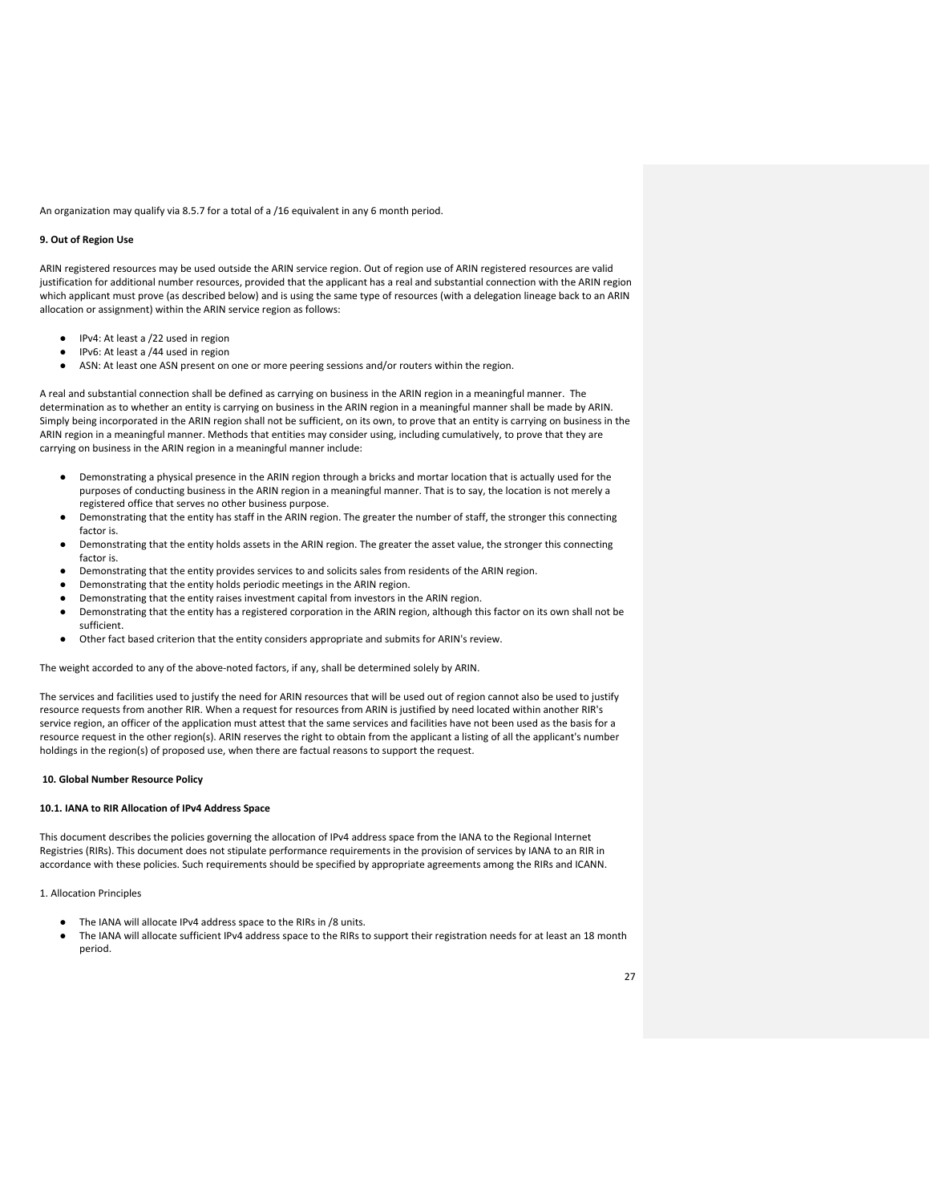An organization may qualify via 8.5.7 for a total of a /16 equivalent in any 6 month period.

## **9. Out of Region Use**

ARIN registered resources may be used outside the ARIN service region. Out of region use of ARIN registered resources are valid justification for additional number resources, provided that the applicant has a real and substantial connection with the ARIN region which applicant must prove (as described below) and is using the same type of resources (with a delegation lineage back to an ARIN allocation or assignment) within the ARIN service region as follows:

- IPv4: At least a /22 used in region
- IPv6: At least a /44 used in region
- ASN: At least one ASN present on one or more peering sessions and/or routers within the region.

A real and substantial connection shall be defined as carrying on business in the ARIN region in a meaningful manner. The determination as to whether an entity is carrying on business in the ARIN region in a meaningful manner shall be made by ARIN. Simply being incorporated in the ARIN region shall not be sufficient, on its own, to prove that an entity is carrying on business in the ARIN region in a meaningful manner. Methods that entities may consider using, including cumulatively, to prove that they are carrying on business in the ARIN region in a meaningful manner include:

- Demonstrating a physical presence in the ARIN region through a bricks and mortar location that is actually used for the purposes of conducting business in the ARIN region in a meaningful manner. That is to say, the location is not merely a registered office that serves no other business purpose.
- Demonstrating that the entity has staff in the ARIN region. The greater the number of staff, the stronger this connecting factor is.
- Demonstrating that the entity holds assets in the ARIN region. The greater the asset value, the stronger this connecting factor is.
- Demonstrating that the entity provides services to and solicits sales from residents of the ARIN region.
- Demonstrating that the entity holds periodic meetings in the ARIN region.
- Demonstrating that the entity raises investment capital from investors in the ARIN region.
- Demonstrating that the entity has a registered corporation in the ARIN region, although this factor on its own shall not be sufficient.
- Other fact based criterion that the entity considers appropriate and submits for ARIN's review.

The weight accorded to any of the above-noted factors, if any, shall be determined solely by ARIN.

The services and facilities used to justify the need for ARIN resources that will be used out of region cannot also be used to justify resource requests from another RIR. When a request for resources from ARIN is justified by need located within another RIR's service region, an officer of the application must attest that the same services and facilities have not been used as the basis for a resource request in the other region(s). ARIN reserves the right to obtain from the applicant a listing of all the applicant's number holdings in the region(s) of proposed use, when there are factual reasons to support the request.

## **10. Global Number Resource Policy**

#### **10.1. IANA to RIR Allocation of IPv4 Address Space**

This document describes the policies governing the allocation of IPv4 address space from the IANA to the Regional Internet Registries (RIRs). This document does not stipulate performance requirements in the provision of services by IANA to an RIR in accordance with these policies. Such requirements should be specified by appropriate agreements among the RIRs and ICANN.

1. Allocation Principles

- The IANA will allocate IPv4 address space to the RIRs in /8 units.
- The IANA will allocate sufficient IPv4 address space to the RIRs to support their registration needs for at least an 18 month period.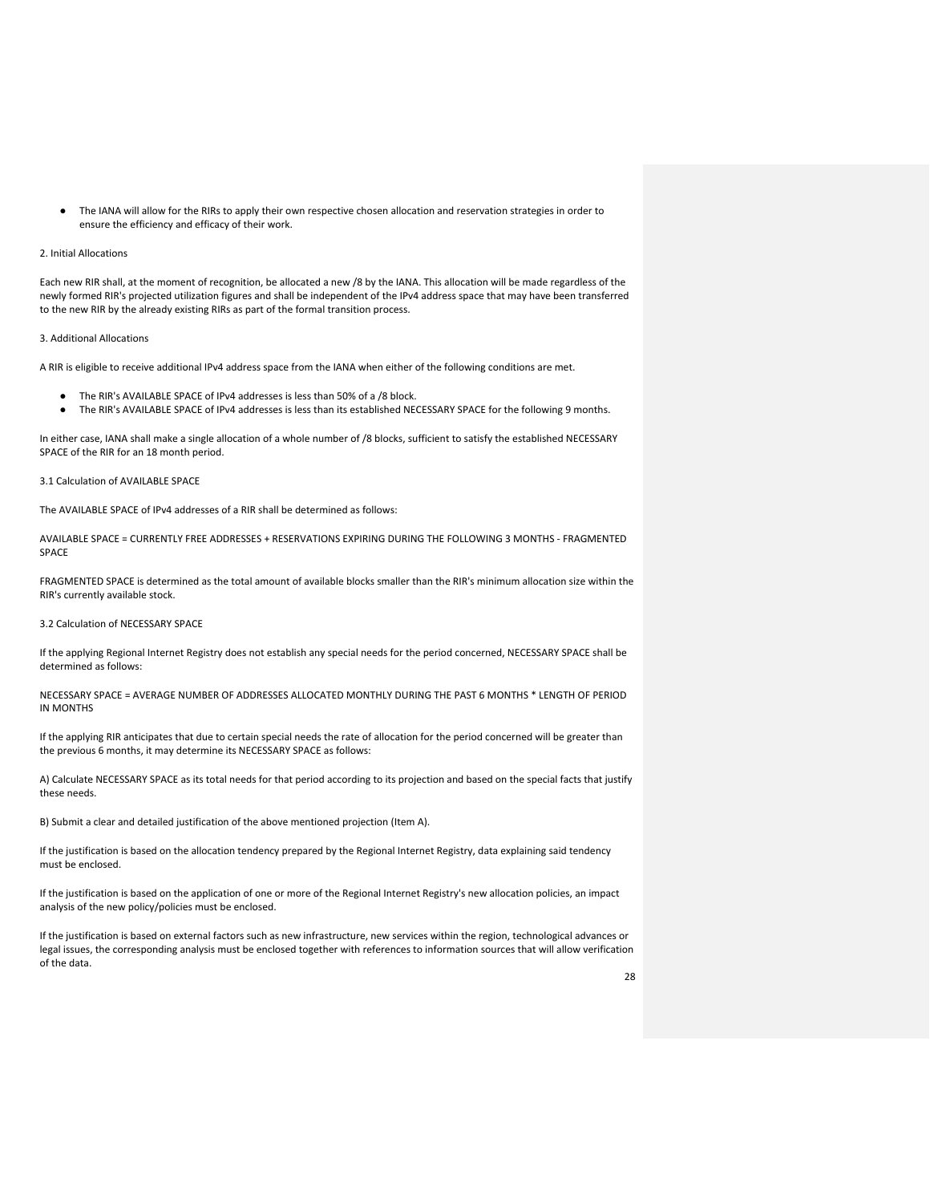● The IANA will allow for the RIRs to apply their own respective chosen allocation and reservation strategies in order to ensure the efficiency and efficacy of their work.

## 2. Initial Allocations

Each new RIR shall, at the moment of recognition, be allocated a new /8 by the IANA. This allocation will be made regardless of the newly formed RIR's projected utilization figures and shall be independent of the IPv4 address space that may have been transferred to the new RIR by the already existing RIRs as part of the formal transition process.

#### 3. Additional Allocations

A RIR is eligible to receive additional IPv4 address space from the IANA when either of the following conditions are met.

- The RIR's AVAILABLE SPACE of IPv4 addresses is less than 50% of a /8 block.
- The RIR's AVAILABLE SPACE of IPv4 addresses is less than its established NECESSARY SPACE for the following 9 months.

In either case, IANA shall make a single allocation of a whole number of /8 blocks, sufficient to satisfy the established NECESSARY SPACE of the RIR for an 18 month period.

#### 3.1 Calculation of AVAILABLE SPACE

The AVAILABLE SPACE of IPv4 addresses of a RIR shall be determined as follows:

AVAILABLE SPACE = CURRENTLY FREE ADDRESSES + RESERVATIONS EXPIRING DURING THE FOLLOWING 3 MONTHS - FRAGMENTED SPACE

FRAGMENTED SPACE is determined as the total amount of available blocks smaller than the RIR's minimum allocation size within the RIR's currently available stock.

## 3.2 Calculation of NECESSARY SPACE

If the applying Regional Internet Registry does not establish any special needs for the period concerned, NECESSARY SPACE shall be determined as follows:

NECESSARY SPACE = AVERAGE NUMBER OF ADDRESSES ALLOCATED MONTHLY DURING THE PAST 6 MONTHS \* LENGTH OF PERIOD IN MONTHS

If the applying RIR anticipates that due to certain special needs the rate of allocation for the period concerned will be greater than the previous 6 months, it may determine its NECESSARY SPACE as follows:

A) Calculate NECESSARY SPACE as its total needs for that period according to its projection and based on the special facts that justify these needs.

B) Submit a clear and detailed justification of the above mentioned projection (Item A).

If the justification is based on the allocation tendency prepared by the Regional Internet Registry, data explaining said tendency must be enclosed.

If the justification is based on the application of one or more of the Regional Internet Registry's new allocation policies, an impact analysis of the new policy/policies must be enclosed.

If the justification is based on external factors such as new infrastructure, new services within the region, technological advances or legal issues, the corresponding analysis must be enclosed together with references to information sources that will allow verification of the data.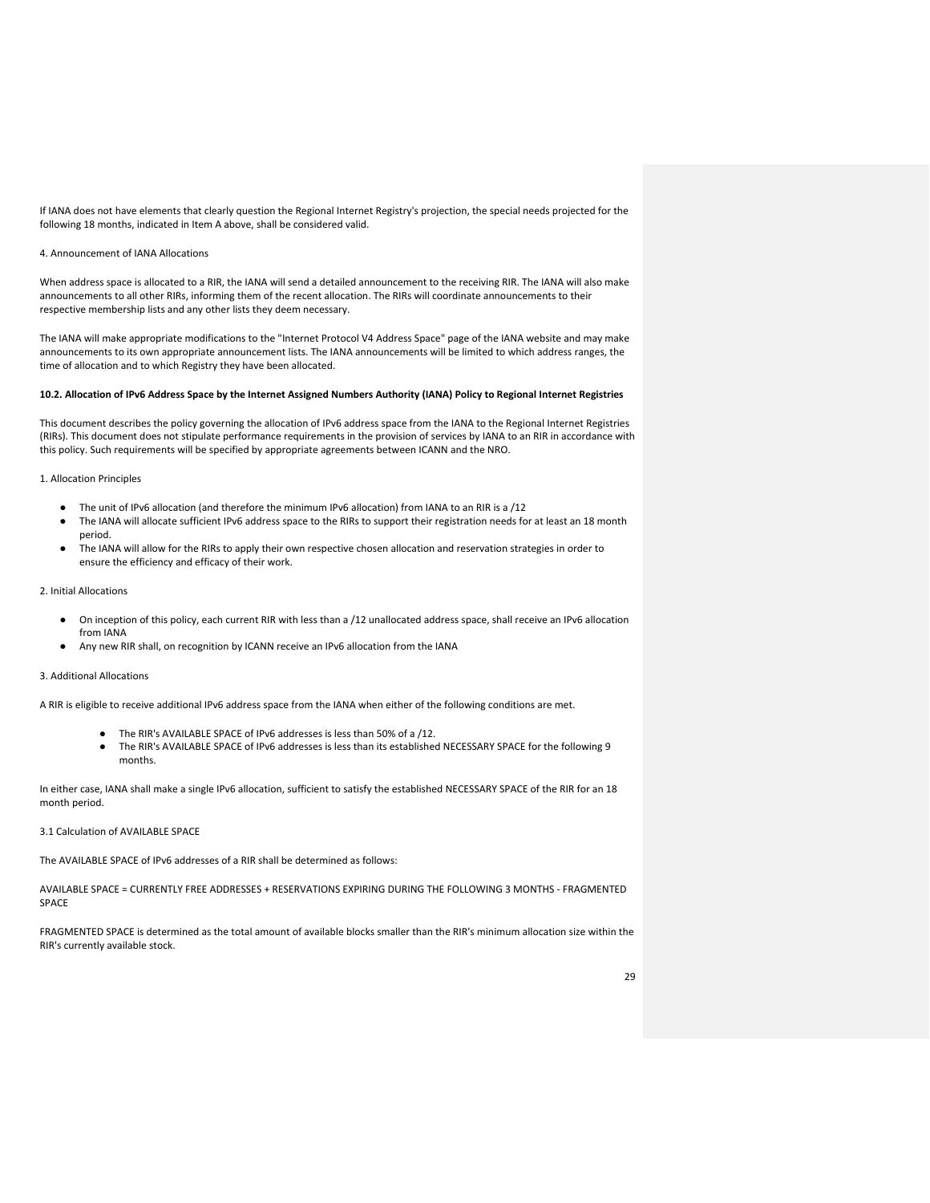If IANA does not have elements that clearly question the Regional Internet Registry's projection, the special needs projected for the following 18 months, indicated in Item A above, shall be considered valid.

## 4. Announcement of IANA Allocations

When address space is allocated to a RIR, the IANA will send a detailed announcement to the receiving RIR. The IANA will also make announcements to all other RIRs, informing them of the recent allocation. The RIRs will coordinate announcements to their respective membership lists and any other lists they deem necessary.

The IANA will make appropriate modifications to the "Internet Protocol V4 Address Space" page of the IANA website and may make announcements to its own appropriate announcement lists. The IANA announcements will be limited to which address ranges, the time of allocation and to which Registry they have been allocated.

## **10.2. Allocation of IPv6 Address Space by the Internet Assigned Numbers Authority (IANA) Policy to Regional Internet Registries**

This document describes the policy governing the allocation of IPv6 address space from the IANA to the Regional Internet Registries (RIRs). This document does not stipulate performance requirements in the provision of services by IANA to an RIR in accordance with this policy. Such requirements will be specified by appropriate agreements between ICANN and the NRO.

#### 1. Allocation Principles

- The unit of IPv6 allocation (and therefore the minimum IPv6 allocation) from IANA to an RIR is a /12
- The IANA will allocate sufficient IPv6 address space to the RIRs to support their registration needs for at least an 18 month period.
- The IANA will allow for the RIRs to apply their own respective chosen allocation and reservation strategies in order to ensure the efficiency and efficacy of their work.

## 2. Initial Allocations

- On inception of this policy, each current RIR with less than a /12 unallocated address space, shall receive an IPv6 allocation from IANA
- Any new RIR shall, on recognition by ICANN receive an IPv6 allocation from the IANA

#### 3. Additional Allocations

A RIR is eligible to receive additional IPv6 address space from the IANA when either of the following conditions are met.

- The RIR's AVAILABLE SPACE of IPv6 addresses is less than 50% of a /12.
- The RIR's AVAILABLE SPACE of IPv6 addresses is less than its established NECESSARY SPACE for the following 9 months.

In either case, IANA shall make a single IPv6 allocation, sufficient to satisfy the established NECESSARY SPACE of the RIR for an 18 month period.

3.1 Calculation of AVAILABLE SPACE

The AVAILABLE SPACE of IPv6 addresses of a RIR shall be determined as follows:

AVAILABLE SPACE = CURRENTLY FREE ADDRESSES + RESERVATIONS EXPIRING DURING THE FOLLOWING 3 MONTHS - FRAGMENTED SPACE

FRAGMENTED SPACE is determined as the total amount of available blocks smaller than the RIR's minimum allocation size within the RIR's currently available stock.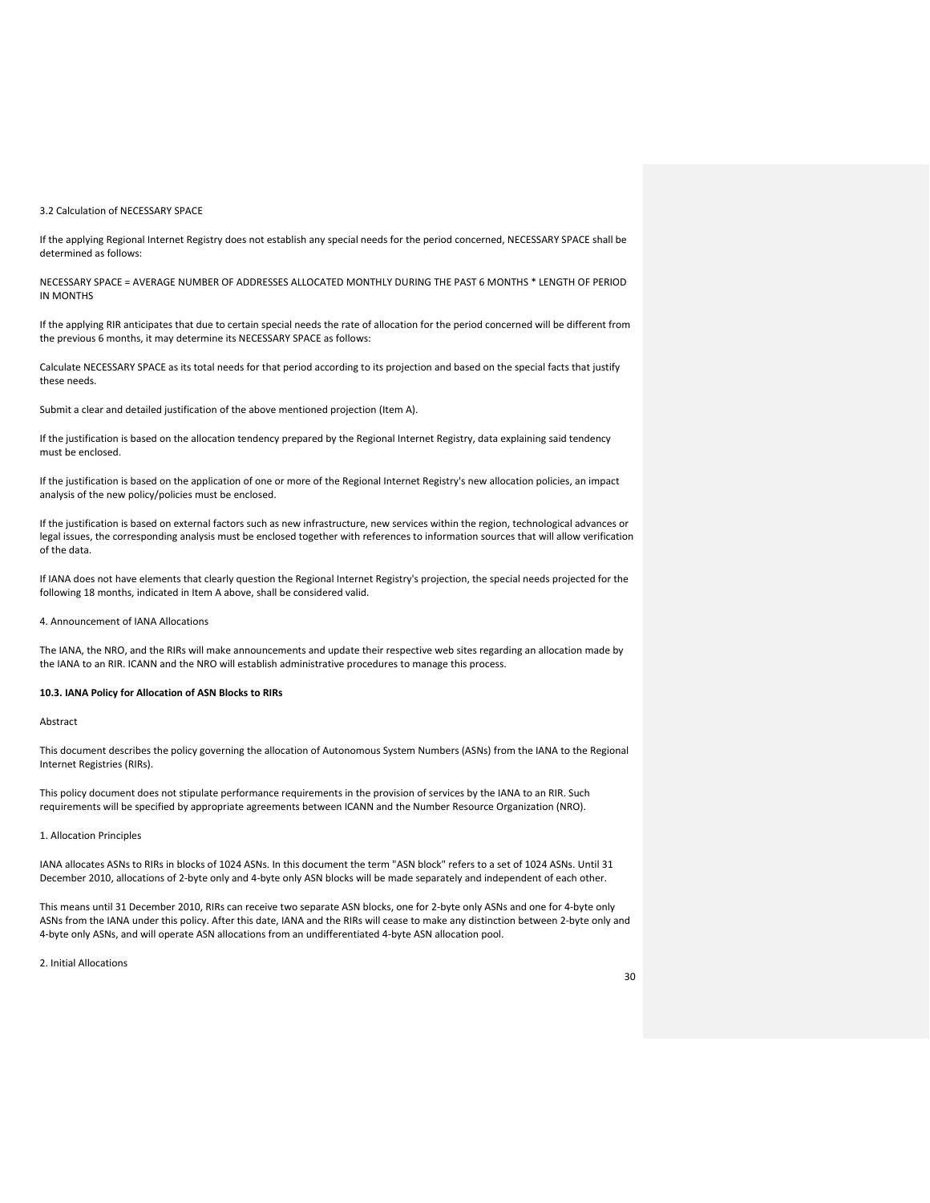#### 3.2 Calculation of NECESSARY SPACE

If the applying Regional Internet Registry does not establish any special needs for the period concerned, NECESSARY SPACE shall be determined as follows:

NECESSARY SPACE = AVERAGE NUMBER OF ADDRESSES ALLOCATED MONTHLY DURING THE PAST 6 MONTHS \* LENGTH OF PERIOD IN MONTHS

If the applying RIR anticipates that due to certain special needs the rate of allocation for the period concerned will be different from the previous 6 months, it may determine its NECESSARY SPACE as follows:

Calculate NECESSARY SPACE as its total needs for that period according to its projection and based on the special facts that justify these needs.

Submit a clear and detailed justification of the above mentioned projection (Item A).

If the justification is based on the allocation tendency prepared by the Regional Internet Registry, data explaining said tendency must be enclosed.

If the justification is based on the application of one or more of the Regional Internet Registry's new allocation policies, an impact analysis of the new policy/policies must be enclosed.

If the justification is based on external factors such as new infrastructure, new services within the region, technological advances or legal issues, the corresponding analysis must be enclosed together with references to information sources that will allow verification of the data.

If IANA does not have elements that clearly question the Regional Internet Registry's projection, the special needs projected for the following 18 months, indicated in Item A above, shall be considered valid.

4. Announcement of IANA Allocations

The IANA, the NRO, and the RIRs will make announcements and update their respective web sites regarding an allocation made by the IANA to an RIR. ICANN and the NRO will establish administrative procedures to manage this process.

## **10.3. IANA Policy for Allocation of ASN Blocks to RIRs**

#### Abstract

This document describes the policy governing the allocation of Autonomous System Numbers (ASNs) from the IANA to the Regional Internet Registries (RIRs).

This policy document does not stipulate performance requirements in the provision of services by the IANA to an RIR. Such requirements will be specified by appropriate agreements between ICANN and the Number Resource Organization (NRO).

1. Allocation Principles

IANA allocates ASNs to RIRs in blocks of 1024 ASNs. In this document the term "ASN block" refers to a set of 1024 ASNs. Until 31 December 2010, allocations of 2-byte only and 4-byte only ASN blocks will be made separately and independent of each other.

This means until 31 December 2010, RIRs can receive two separate ASN blocks, one for 2-byte only ASNs and one for 4-byte only ASNs from the IANA under this policy. After this date, IANA and the RIRs will cease to make any distinction between 2-byte only and 4-byte only ASNs, and will operate ASN allocations from an undifferentiated 4-byte ASN allocation pool.

2. Initial Allocations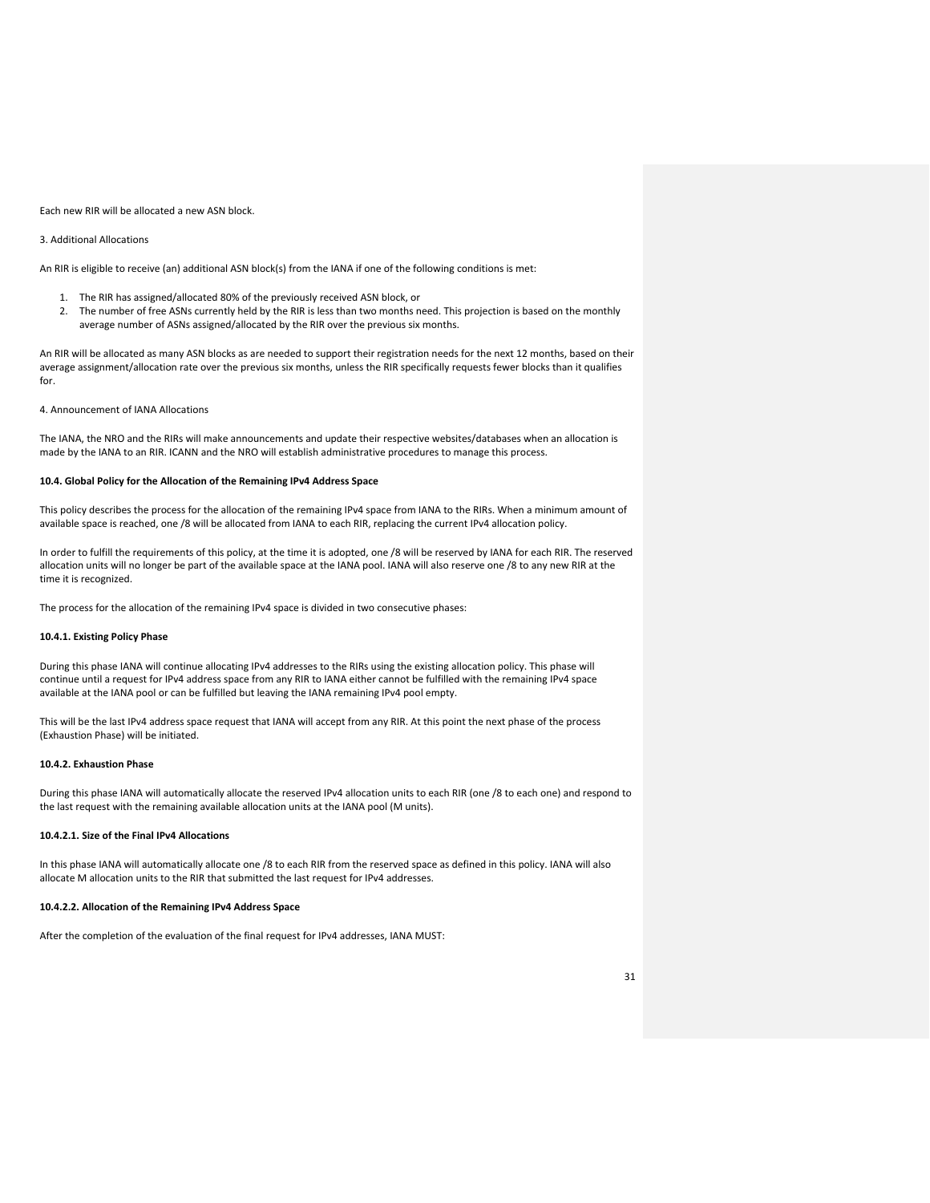#### Each new RIR will be allocated a new ASN block.

## 3. Additional Allocations

An RIR is eligible to receive (an) additional ASN block(s) from the IANA if one of the following conditions is met:

- 1. The RIR has assigned/allocated 80% of the previously received ASN block, or
- 2. The number of free ASNs currently held by the RIR is less than two months need. This projection is based on the monthly average number of ASNs assigned/allocated by the RIR over the previous six months.

An RIR will be allocated as many ASN blocks as are needed to support their registration needs for the next 12 months, based on their average assignment/allocation rate over the previous six months, unless the RIR specifically requests fewer blocks than it qualifies for.

4. Announcement of IANA Allocations

The IANA, the NRO and the RIRs will make announcements and update their respective websites/databases when an allocation is made by the IANA to an RIR. ICANN and the NRO will establish administrative procedures to manage this process.

#### **10.4. Global Policy for the Allocation of the Remaining IPv4 Address Space**

This policy describes the process for the allocation of the remaining IPv4 space from IANA to the RIRs. When a minimum amount of available space is reached, one /8 will be allocated from IANA to each RIR, replacing the current IPv4 allocation policy.

In order to fulfill the requirements of this policy, at the time it is adopted, one /8 will be reserved by IANA for each RIR. The reserved allocation units will no longer be part of the available space at the IANA pool. IANA will also reserve one /8 to any new RIR at the time it is recognized.

The process for the allocation of the remaining IPv4 space is divided in two consecutive phases:

## **10.4.1. Existing Policy Phase**

During this phase IANA will continue allocating IPv4 addresses to the RIRs using the existing allocation policy. This phase will continue until a request for IPv4 address space from any RIR to IANA either cannot be fulfilled with the remaining IPv4 space available at the IANA pool or can be fulfilled but leaving the IANA remaining IPv4 pool empty.

This will be the last IPv4 address space request that IANA will accept from any RIR. At this point the next phase of the process (Exhaustion Phase) will be initiated.

## **10.4.2. Exhaustion Phase**

During this phase IANA will automatically allocate the reserved IPv4 allocation units to each RIR (one /8 to each one) and respond to the last request with the remaining available allocation units at the IANA pool (M units).

## **10.4.2.1. Size of the Final IPv4 Allocations**

In this phase IANA will automatically allocate one /8 to each RIR from the reserved space as defined in this policy. IANA will also allocate M allocation units to the RIR that submitted the last request for IPv4 addresses.

## **10.4.2.2. Allocation of the Remaining IPv4 Address Space**

After the completion of the evaluation of the final request for IPv4 addresses, IANA MUST: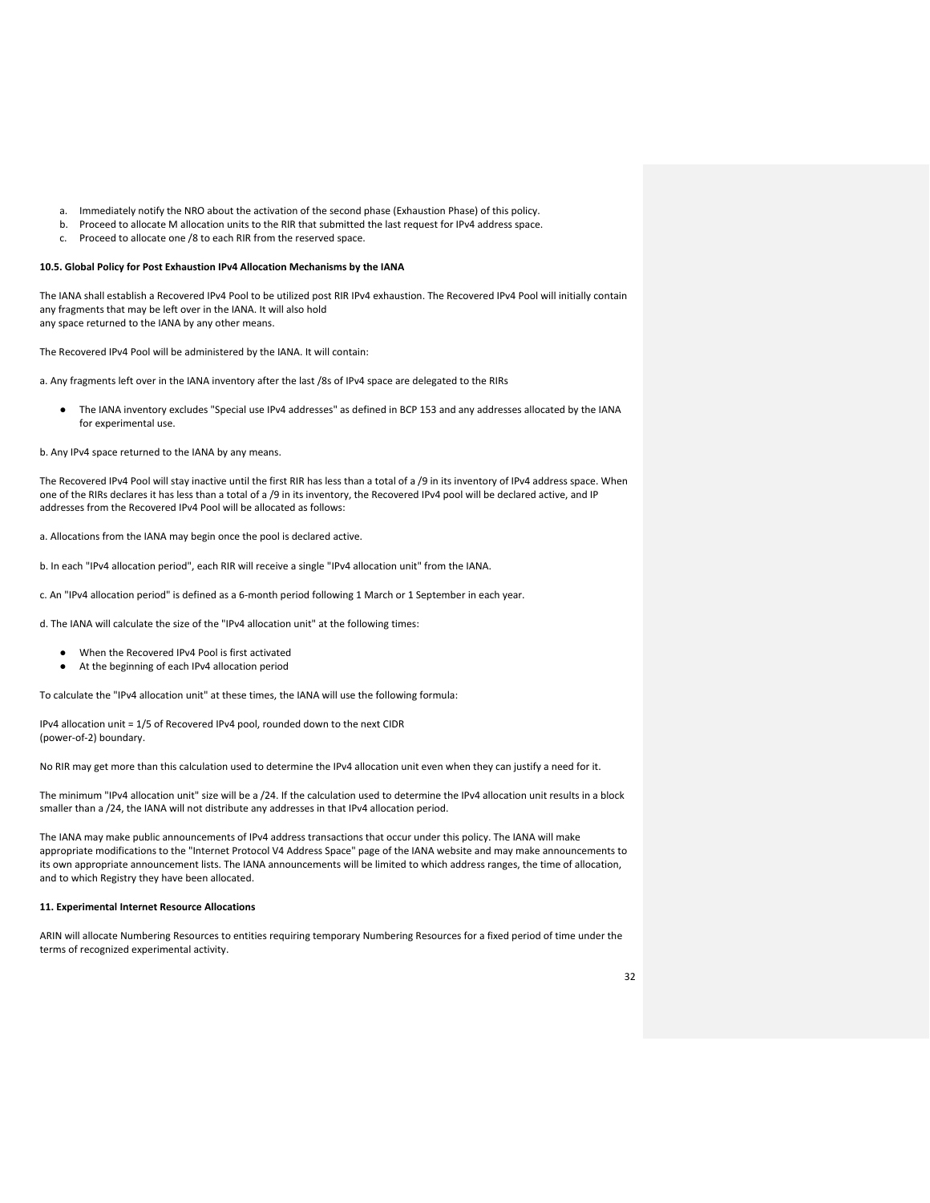- a. Immediately notify the NRO about the activation of the second phase (Exhaustion Phase) of this policy.
- b. Proceed to allocate M allocation units to the RIR that submitted the last request for IPv4 address space.
- c. Proceed to allocate one /8 to each RIR from the reserved space.

#### **10.5. Global Policy for Post Exhaustion IPv4 Allocation Mechanisms by the IANA**

The IANA shall establish a Recovered IPv4 Pool to be utilized post RIR IPv4 exhaustion. The Recovered IPv4 Pool will initially contain any fragments that may be left over in the IANA. It will also hold any space returned to the IANA by any other means.

The Recovered IPv4 Pool will be administered by the IANA. It will contain:

a. Any fragments left over in the IANA inventory after the last /8s of IPv4 space are delegated to the RIRs

The IANA inventory excludes "Special use IPv4 addresses" as defined in BCP 153 and any addresses allocated by the IANA for experimental use.

#### b. Any IPv4 space returned to the IANA by any means.

The Recovered IPv4 Pool will stay inactive until the first RIR has less than a total of a /9 in its inventory of IPv4 address space. When one of the RIRs declares it has less than a total of a /9 in its inventory, the Recovered IPv4 pool will be declared active, and IP addresses from the Recovered IPv4 Pool will be allocated as follows:

a. Allocations from the IANA may begin once the pool is declared active.

b. In each "IPv4 allocation period", each RIR will receive a single "IPv4 allocation unit" from the IANA.

c. An "IPv4 allocation period" is defined as a 6-month period following 1 March or 1 September in each year.

d. The IANA will calculate the size of the "IPv4 allocation unit" at the following times:

- When the Recovered IPv4 Pool is first activated
- At the beginning of each IPv4 allocation period

To calculate the "IPv4 allocation unit" at these times, the IANA will use the following formula:

IPv4 allocation unit = 1/5 of Recovered IPv4 pool, rounded down to the next CIDR (power-of-2) boundary.

No RIR may get more than this calculation used to determine the IPv4 allocation unit even when they can justify a need for it.

The minimum "IPv4 allocation unit" size will be a /24. If the calculation used to determine the IPv4 allocation unit results in a block smaller than a /24, the IANA will not distribute any addresses in that IPv4 allocation period.

The IANA may make public announcements of IPv4 address transactions that occur under this policy. The IANA will make appropriate modifications to the "Internet Protocol V4 Address Space" page of the IANA website and may make announcements to its own appropriate announcement lists. The IANA announcements will be limited to which address ranges, the time of allocation, and to which Registry they have been allocated.

#### **11. Experimental Internet Resource Allocations**

ARIN will allocate Numbering Resources to entities requiring temporary Numbering Resources for a fixed period of time under the terms of recognized experimental activity.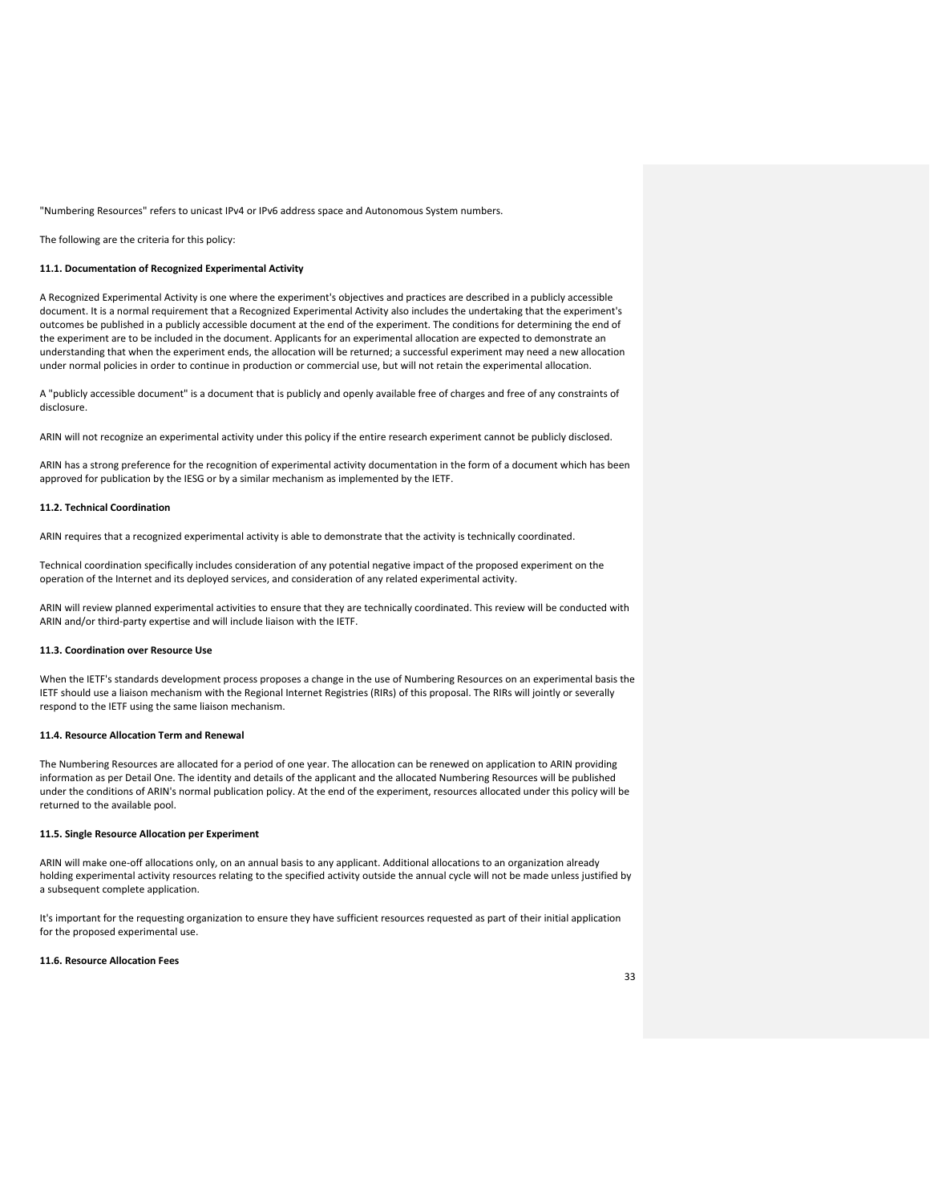"Numbering Resources" refers to unicast IPv4 or IPv6 address space and Autonomous System numbers.

The following are the criteria for this policy:

#### **11.1. Documentation of Recognized Experimental Activity**

A Recognized Experimental Activity is one where the experiment's objectives and practices are described in a publicly accessible document. It is a normal requirement that a Recognized Experimental Activity also includes the undertaking that the experiment's outcomes be published in a publicly accessible document at the end of the experiment. The conditions for determining the end of the experiment are to be included in the document. Applicants for an experimental allocation are expected to demonstrate an understanding that when the experiment ends, the allocation will be returned; a successful experiment may need a new allocation under normal policies in order to continue in production or commercial use, but will not retain the experimental allocation.

A "publicly accessible document" is a document that is publicly and openly available free of charges and free of any constraints of disclosure.

ARIN will not recognize an experimental activity under this policy if the entire research experiment cannot be publicly disclosed.

ARIN has a strong preference for the recognition of experimental activity documentation in the form of a document which has been approved for publication by the IESG or by a similar mechanism as implemented by the IETF.

#### **11.2. Technical Coordination**

ARIN requires that a recognized experimental activity is able to demonstrate that the activity is technically coordinated.

Technical coordination specifically includes consideration of any potential negative impact of the proposed experiment on the operation of the Internet and its deployed services, and consideration of any related experimental activity.

ARIN will review planned experimental activities to ensure that they are technically coordinated. This review will be conducted with ARIN and/or third-party expertise and will include liaison with the IETF.

## **11.3. Coordination over Resource Use**

When the IETF's standards development process proposes a change in the use of Numbering Resources on an experimental basis the IETF should use a liaison mechanism with the Regional Internet Registries (RIRs) of this proposal. The RIRs will jointly or severally respond to the IETF using the same liaison mechanism.

#### **11.4. Resource Allocation Term and Renewal**

The Numbering Resources are allocated for a period of one year. The allocation can be renewed on application to ARIN providing information as per Detail One. The identity and details of the applicant and the allocated Numbering Resources will be published under the conditions of ARIN's normal publication policy. At the end of the experiment, resources allocated under this policy will be returned to the available pool.

## **11.5. Single Resource Allocation per Experiment**

ARIN will make one-off allocations only, on an annual basis to any applicant. Additional allocations to an organization already holding experimental activity resources relating to the specified activity outside the annual cycle will not be made unless justified by a subsequent complete application.

It's important for the requesting organization to ensure they have sufficient resources requested as part of their initial application for the proposed experimental use.

#### **11.6. Resource Allocation Fees**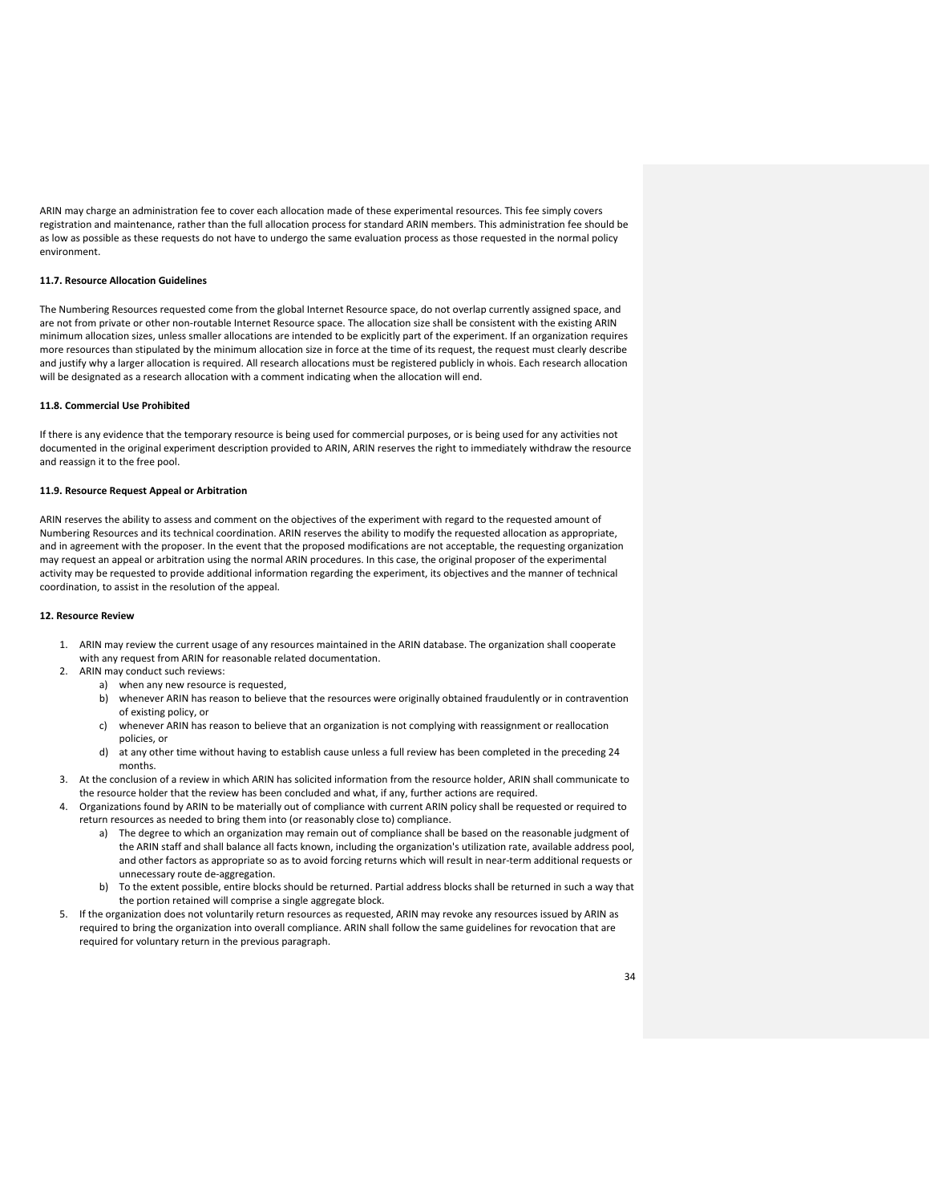ARIN may charge an administration fee to cover each allocation made of these experimental resources. This fee simply covers registration and maintenance, rather than the full allocation process for standard ARIN members. This administration fee should be as low as possible as these requests do not have to undergo the same evaluation process as those requested in the normal policy environment.

#### **11.7. Resource Allocation Guidelines**

The Numbering Resources requested come from the global Internet Resource space, do not overlap currently assigned space, and are not from private or other non-routable Internet Resource space. The allocation size shall be consistent with the existing ARIN minimum allocation sizes, unless smaller allocations are intended to be explicitly part of the experiment. If an organization requires more resources than stipulated by the minimum allocation size in force at the time of its request, the request must clearly describe and justify why a larger allocation is required. All research allocations must be registered publicly in whois. Each research allocation will be designated as a research allocation with a comment indicating when the allocation will end.

#### **11.8. Commercial Use Prohibited**

If there is any evidence that the temporary resource is being used for commercial purposes, or is being used for any activities not documented in the original experiment description provided to ARIN, ARIN reserves the right to immediately withdraw the resource and reassign it to the free pool.

#### **11.9. Resource Request Appeal or Arbitration**

ARIN reserves the ability to assess and comment on the objectives of the experiment with regard to the requested amount of Numbering Resources and its technical coordination. ARIN reserves the ability to modify the requested allocation as appropriate, and in agreement with the proposer. In the event that the proposed modifications are not acceptable, the requesting organization may request an appeal or arbitration using the normal ARIN procedures. In this case, the original proposer of the experimental activity may be requested to provide additional information regarding the experiment, its objectives and the manner of technical coordination, to assist in the resolution of the appeal.

#### **12. Resource Review**

- 1. ARIN may review the current usage of any resources maintained in the ARIN database. The organization shall cooperate with any request from ARIN for reasonable related documentation.
- 2. ARIN may conduct such reviews:
	- a) when any new resource is requested,
	- b) whenever ARIN has reason to believe that the resources were originally obtained fraudulently or in contravention of existing policy, or
	- c) whenever ARIN has reason to believe that an organization is not complying with reassignment or reallocation policies, or
	- d) at any other time without having to establish cause unless a full review has been completed in the preceding 24 months.
- 3. At the conclusion of a review in which ARIN has solicited information from the resource holder, ARIN shall communicate to the resource holder that the review has been concluded and what, if any, further actions are required.
- 4. Organizations found by ARIN to be materially out of compliance with current ARIN policy shall be requested or required to return resources as needed to bring them into (or reasonably close to) compliance.
	- a) The degree to which an organization may remain out of compliance shall be based on the reasonable judgment of the ARIN staff and shall balance all facts known, including the organization's utilization rate, available address pool, and other factors as appropriate so as to avoid forcing returns which will result in near-term additional requests or unnecessary route de-aggregation.
	- b) To the extent possible, entire blocks should be returned. Partial address blocks shall be returned in such a way that the portion retained will comprise a single aggregate block.
- 5. If the organization does not voluntarily return resources as requested, ARIN may revoke any resources issued by ARIN as required to bring the organization into overall compliance. ARIN shall follow the same guidelines for revocation that are required for voluntary return in the previous paragraph.